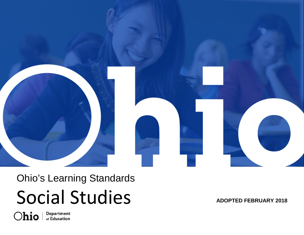

# Ohio's Learning Standards Social Studies **ADOPTED FEBRUARY 2018**

**Department**<br>of Education Ohio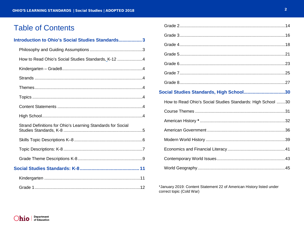# **Table of Contents**

## Introduction to Ohio's Social Studies Standards................... 3

| How to Read Ohio's Social Studies Standards, K-12 4         |  |
|-------------------------------------------------------------|--|
|                                                             |  |
|                                                             |  |
|                                                             |  |
|                                                             |  |
|                                                             |  |
|                                                             |  |
| Strand Definitions for Ohio's Learning Standards for Social |  |
|                                                             |  |
|                                                             |  |
|                                                             |  |
|                                                             |  |
|                                                             |  |
|                                                             |  |

| Social Studies Standards, High School30                     |  |
|-------------------------------------------------------------|--|
| How to Read Ohio's Social Studies Standards: High School 30 |  |
|                                                             |  |
|                                                             |  |
|                                                             |  |
|                                                             |  |
|                                                             |  |
|                                                             |  |
|                                                             |  |

\*January 2019: Content Statement 22 of American History listed under correct topic (Cold War)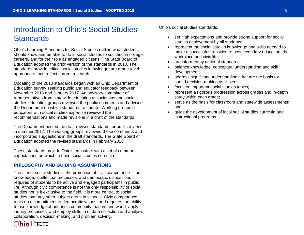# <span id="page-2-0"></span>Introduction to Ohio's Social Studies **Standards**

Ohio's Learning Standards for Social Studies outline what students should know and be able to do in social studies to succeed in college, careers, and for their role as engaged citizens. The State Board of Education adopted the prior version of the standards in 2010. The standards provide critical social studies knowledge, are grade-level appropriate, and reflect current research.

Updating of the 2010 standards began with an Ohio Department of Education survey seeking public and educator feedback between November 2016 and January 2017. An advisory committee of representatives from statewide education associations and social studies education groups reviewed the public comments and advised the Department on which standards to update. Working groups of educators with social studies expertise reviewed the recommendations and made revisions in a draft of the standards.

The Department posted the draft revised standards for public review in summer 2017. The working groups reviewed those comments and incorporated suggestions in the draft standards. The State Board of Education adopted the revised standards in February 2018.

These standards provide Ohio's educators with a set of common expectations on which to base social studies curricula.

#### <span id="page-2-1"></span>**PHILOSOPHY AND GUIDING ASSUMPTIONS**

The aim of social studies is the promotion of civic competence – the knowledge, intellectual processes, and democratic dispositions required of students to be active and engaged participants in public life. Although civic competence is not the only responsibility of social studies nor is it exclusive to the field, it is more central to social studies than any other subject areas in schools. Civic competence rests on a commitment to democratic values, and requires the ability to use knowledge about one's community, nation, and world; apply inquiry processes; and employ skills to of data collection and analysis, collaboration, decision-making, and problem solving.

Ohio's social studies standards:

- set high expectations and provide strong support for social studies achievement by all students;
- represent the social studies knowledge and skills needed to make a successful transition to postsecondary education, the workplace and civic life;
- are informed by national standards;
- balance knowledge, conceptual understanding and skill development;
- address significant understandings that are the basis for sound decision-making as citizens;
- focus on important social studies topics;
- represent a rigorous progression across grades and in-depth study within each grade;
- serve as the basis for classroom and statewide assessments: and
- guide the development of local social studies curricula and instructional programs.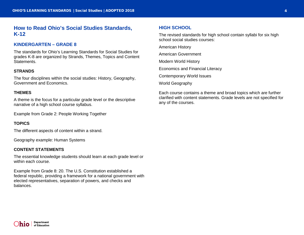# <span id="page-3-1"></span><span id="page-3-0"></span>**How to Read Ohio's Social Studies Standards, K-12**

#### <span id="page-3-2"></span>**KINDERGARTEN – GRADE 8**

The standards for Ohio's Learning Standards for Social Studies for grades K-8 are organized by Strands, Themes, Topics and Content Statements.

#### <span id="page-3-3"></span>**STRANDS**

The four disciplines within the social studies: History, Geography, Government and Economics.

#### <span id="page-3-4"></span>**THEMES**

A theme is the focus for a particular grade level or the descriptive narrative of a high school course syllabus.

Example from Grade 2: People Working Together

#### <span id="page-3-5"></span>**TOPICS**

The different aspects of content within a strand.

Geography example: Human Systems

#### <span id="page-3-6"></span>**CONTENT STATEMENTS**

The essential knowledge students should learn at each grade level or within each course.

Example from Grade 8: 20. The U.S. Constitution established a federal republic, providing a framework for a national government with elected representatives, separation of powers, and checks and balances.

#### <span id="page-3-7"></span>**HIGH SCHOOL**

The revised standards for high school contain syllabi for six high school social studies courses:

American History

American Government

Modern World History

Economics and Financial Literacy

Contemporary World Issues

World Geography

<span id="page-3-8"></span>Each course contains a theme and broad topics which are further clarified with content statements. Grade levels are not specified for any of the courses.

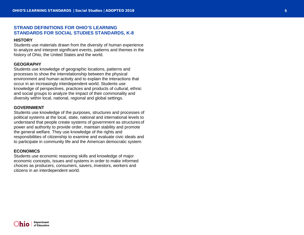#### **STRAND DEFINITIONS FOR OHIO'S LEARNING STANDARDS FOR SOCIAL STUDIES STANDARDS, K-8**

#### **HISTORY**

Students use materials drawn from the diversity of human experience to analyze and interpret significant events, patterns and themes in the history of Ohio, the United States and the world.

#### **GEOGRAPHY**

Students use knowledge of geographic locations, patterns and processes to show the interrelationship between the physical environment and human activity and to explain the interactions that occur in an increasingly interdependent world. Students use knowledge of perspectives, practices and products of cultural, ethnic and social groups to analyze the impact of their commonality and diversity within local, national, regional and global settings.

#### **GOVERNMENT**

Students use knowledge of the purposes, structures and processes of political systems at the local, state, national and international levels to understand that people create systems of government as structures of power and authority to provide order, maintain stability and promote the general welfare. They use knowledge of the rights and responsibilities of citizenship to examine and evaluate civic ideals and to participate in community life and the American democratic system.

#### **ECONOMICS**

Students use economic reasoning skills and knowledge of major economic concepts, issues and systems in order to make informed choices as producers, consumers, savers, investors, workers and citizens in an interdependent world.

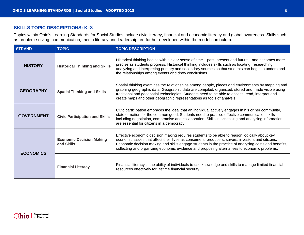#### <span id="page-5-0"></span>**SKILLS TOPIC DESCRIPTIONS: K–8**

Topics within Ohio's Learning Standards for Social Studies include civic literacy, financial and economic literacy and global awareness. Skills such as problem-solving, communication, media literacy and leadership are further developed within the model curriculum.

| <b>STRAND</b>                                              | <b>TOPIC</b>                                  | <b>TOPIC DESCRIPTION</b>                                                                                                                                                                                                                                                                                                                                                                                  |  |
|------------------------------------------------------------|-----------------------------------------------|-----------------------------------------------------------------------------------------------------------------------------------------------------------------------------------------------------------------------------------------------------------------------------------------------------------------------------------------------------------------------------------------------------------|--|
| <b>HISTORY</b><br><b>Historical Thinking and Skills</b>    |                                               | Historical thinking begins with a clear sense of time – past, present and future – and becomes more<br>precise as students progress. Historical thinking includes skills such as locating, researching,<br>analyzing and interpreting primary and secondary sources so that students can begin to understand<br>the relationships among events and draw conclusions.                                      |  |
| <b>GEOGRAPHY</b>                                           | <b>Spatial Thinking and Skills</b>            | Spatial thinking examines the relationships among people, places and environments by mapping and<br>graphing geographic data. Geographic data are compiled, organized, stored and made visible using<br>traditional and geospatial technologies. Students need to be able to access, read, interpret and<br>create maps and other geographic representations as tools of analysis.                        |  |
| <b>GOVERNMENT</b><br><b>Civic Participation and Skills</b> |                                               | Civic participation embraces the ideal that an individual actively engages in his or her community,<br>state or nation for the common good. Students need to practice effective communication skills<br>including negotiation, compromise and collaboration. Skills in accessing and analyzing information<br>are essential for citizens in a democracy.                                                  |  |
| <b>ECONOMICS</b>                                           | <b>Economic Decision Making</b><br>and Skills | Effective economic decision making requires students to be able to reason logically about key<br>economic issues that affect their lives as consumers, producers, savers, investors and citizens.<br>Economic decision making and skills engage students in the practice of analyzing costs and benefits,<br>collecting and organizing economic evidence and proposing alternatives to economic problems. |  |
|                                                            | <b>Financial Literacy</b>                     | Financial literacy is the ability of individuals to use knowledge and skills to manage limited financial<br>resources effectively for lifetime financial security.                                                                                                                                                                                                                                        |  |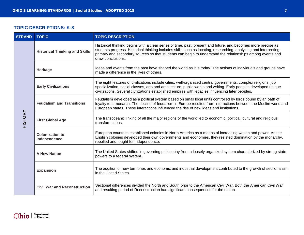## <span id="page-6-0"></span>**TOPIC DESCRIPTIONS: K-8**

| <b>STRAND</b>  | <b>TOPIC</b>                           | <b>TOPIC DESCRIPTION</b>                                                                                                                                                                                                                                                                                                                                           |  |  |
|----------------|----------------------------------------|--------------------------------------------------------------------------------------------------------------------------------------------------------------------------------------------------------------------------------------------------------------------------------------------------------------------------------------------------------------------|--|--|
|                | <b>Historical Thinking and Skills</b>  | Historical thinking begins with a clear sense of time, past, present and future, and becomes more precise as<br>students progress. Historical thinking includes skills such as locating, researching, analyzing and interpreting<br>primary and secondary sources so that students can begin to understand the relationships among events and<br>draw conclusions. |  |  |
|                | Heritage                               | Ideas and events from the past have shaped the world as it is today. The actions of individuals and groups have<br>made a difference in the lives of others.                                                                                                                                                                                                       |  |  |
|                | <b>Early Civilizations</b>             | The eight features of civilizations include cities, well-organized central governments, complex religions, job<br>specialization, social classes, arts and architecture, public works and writing. Early peoples developed unique<br>civilizations. Several civilizations established empires with legacies influencing later peoples.                             |  |  |
|                | <b>Feudalism and Transitions</b>       | Feudalism developed as a political system based on small local units controlled by lords bound by an oath of<br>loyalty to a monarch. The decline of feudalism in Europe resulted from interactions between the Muslim world and<br>European states. These interactions influenced the rise of new ideas and institutions.                                         |  |  |
| <b>HISTORY</b> | <b>First Global Age</b>                | The transoceanic linking of all the major regions of the world led to economic, political, cultural and religious<br>transformations.                                                                                                                                                                                                                              |  |  |
|                | <b>Colonization to</b><br>Independence | European countries established colonies in North America as a means of increasing wealth and power. As the<br>English colonies developed their own governments and economies, they resisted domination by the monarchy,<br>rebelled and fought for independence.                                                                                                   |  |  |
|                | <b>A New Nation</b>                    | The United States shifted in governing philosophy from a loosely organized system characterized by strong state<br>powers to a federal system.                                                                                                                                                                                                                     |  |  |
|                | <b>Expansion</b>                       | The addition of new territories and economic and industrial development contributed to the growth of sectionalism<br>in the United States.                                                                                                                                                                                                                         |  |  |
|                | <b>Civil War and Reconstruction</b>    | Sectional differences divided the North and South prior to the American Civil War. Both the American Civil War<br>and resulting period of Reconstruction had significant consequences for the nation.                                                                                                                                                              |  |  |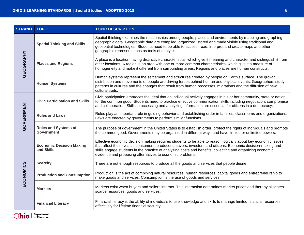| <b>STRAND</b> | <b>TOPIC</b>                                     | <b>TOPIC DESCRIPTION</b>                                                                                                                                                                                                                                                                                                                                                                                  |  |
|---------------|--------------------------------------------------|-----------------------------------------------------------------------------------------------------------------------------------------------------------------------------------------------------------------------------------------------------------------------------------------------------------------------------------------------------------------------------------------------------------|--|
|               | <b>Spatial Thinking and Skills</b>               | Spatial thinking examines the relationships among people, places and environments by mapping and graphing<br>geographic data. Geographic data are compiled, organized, stored and made visible using traditional and<br>geospatial technologies. Students need to be able to access, read, interpret and create maps and other<br>geographic representations as tools of analysis.                        |  |
| GEOGRAPHY     | <b>Places and Regions</b>                        | A place is a location having distinctive characteristics, which give it meaning and character and distinguish it from<br>other locations. A region is an area with one or more common characteristics, which give it a measure of<br>homogeneity and make it different from surrounding areas. Regions and places are human constructs.                                                                   |  |
|               | <b>Human Systems</b>                             | Human systems represent the settlement and structures created by people on Earth's surface. The growth,<br>distribution and movements of people are driving forces behind human and physical events. Geographers study<br>patterns in cultures and the changes that result from human processes, migrations and the diffusion of new<br>cultural traits.                                                  |  |
|               | <b>Civic Participation and Skills</b>            | Civic participation embraces the ideal that an individual actively engages in his or her community, state or nation<br>for the common good. Students need to practice effective communication skills including negotiation, compromise<br>and collaboration. Skills in accessing and analyzing information are essential for citizens in a democracy.                                                     |  |
| GOVERNMENT    | <b>Rules and Laws</b>                            | Rules play an important role in guiding behavior and establishing order in families, classrooms and organizations.<br>Laws are enacted by governments to perform similar functions.                                                                                                                                                                                                                       |  |
|               | <b>Roles and Systems of</b><br><b>Government</b> | The purpose of government in the United States is to establish order, protect the rights of individuals and promote<br>the common good. Governments may be organized in different ways and have limited or unlimited powers.                                                                                                                                                                              |  |
|               | <b>Economic Decision Making</b><br>and Skills    | Effective economic decision making requires students to be able to reason logically about key economic issues<br>that affect their lives as consumers, producers, savers, investors and citizens. Economic decision-making and<br>skills engage students in the practice of analyzing costs and benefits, collecting and organizing economic<br>evidence and proposing alternatives to economic problems. |  |
|               | <b>Scarcity</b>                                  | There are not enough resources to produce all the goods and services that people desire.                                                                                                                                                                                                                                                                                                                  |  |
| ECONOMICS     | <b>Production and Consumption</b>                | Production is the act of combining natural resources, human resources, capital goods and entrepreneurship to<br>make goods and services. Consumption is the use of goods and services.                                                                                                                                                                                                                    |  |
|               | <b>Markets</b>                                   | Markets exist when buyers and sellers interact. This interaction determines market prices and thereby allocates<br>scarce resources, goods and services.                                                                                                                                                                                                                                                  |  |
|               | <b>Financial Literacy</b>                        | Financial literacy is the ability of individuals to use knowledge and skills to manage limited financial resources<br>effectively for lifetime financial security.                                                                                                                                                                                                                                        |  |

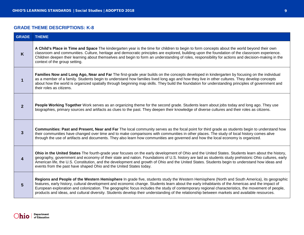## <span id="page-8-0"></span>**GRADE THEME DESCRIPTIONS: K-8**

| <b>GRADE</b> | <b>THEME</b>                                                                                                                                                                                                                                                                                                                                                                                                                                                                                                                                                                                        |
|--------------|-----------------------------------------------------------------------------------------------------------------------------------------------------------------------------------------------------------------------------------------------------------------------------------------------------------------------------------------------------------------------------------------------------------------------------------------------------------------------------------------------------------------------------------------------------------------------------------------------------|
| K            | A Child's Place in Time and Space The kindergarten year is the time for children to begin to form concepts about the world beyond their own<br>classroom and communities. Culture, heritage and democratic principles are explored, building upon the foundation of the classroom experience.<br>Children deepen their learning about themselves and begin to form an understanding of roles, responsibility for actions and decision-making in the<br>context of the group setting.                                                                                                                |
| 1            | Families Now and Long Ago, Near and Far The first-grade year builds on the concepts developed in kindergarten by focusing on the individual<br>as a member of a family. Students begin to understand how families lived long ago and how they live in other cultures. They develop concepts<br>about how the world is organized spatially through beginning map skills. They build the foundation for understanding principles of government and<br>their roles as citizens.                                                                                                                        |
| $\mathbf{2}$ | People Working Together Work serves as an organizing theme for the second grade. Students learn about jobs today and long ago. They use<br>biographies, primary sources and artifacts as clues to the past. They deepen their knowledge of diverse cultures and their roles as citizens.                                                                                                                                                                                                                                                                                                            |
| 3            | <b>Communities: Past and Present, Near and Far</b> The local community serves as the focal point for third grade as students begin to understand how<br>their communities have changed over time and to make comparisons with communities in other places. The study of local history comes alive<br>through the use of artifacts and documents. They also learn how communities are governed and how the local economy is organized.                                                                                                                                                               |
| 4            | Ohio in the United States The fourth-grade year focuses on the early development of Ohio and the United States. Students learn about the history,<br>geography, government and economy of their state and nation. Foundations of U.S. history are laid as students study prehistoric Ohio cultures, early<br>American life, the U.S. Constitution, and the development and growth of Ohio and the United States. Students begin to understand how ideas and<br>events from the past have shaped Ohio and the United States today.                                                                   |
| 5            | Regions and People of the Western Hemisphere In grade five, students study the Western Hemisphere (North and South America), its geographic<br>features, early history, cultural development and economic change. Students learn about the early inhabitants of the Americas and the impact of<br>European exploration and colonization. The geographic focus includes the study of contemporary regional characteristics, the movement of people,<br>products and ideas, and cultural diversity. Students develop their understanding of the relationship between markets and available resources. |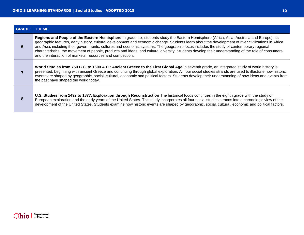| <b>GRADE</b> | <b>THEME</b>                                                                                                                                                                                                                                                                                                                                                                                                                                                                                                                                                                                                                                                    |  |
|--------------|-----------------------------------------------------------------------------------------------------------------------------------------------------------------------------------------------------------------------------------------------------------------------------------------------------------------------------------------------------------------------------------------------------------------------------------------------------------------------------------------------------------------------------------------------------------------------------------------------------------------------------------------------------------------|--|
| 6            | Regions and People of the Eastern Hemisphere In grade six, students study the Eastern Hemisphere (Africa, Asia, Australia and Europe), its<br>geographic features, early history, cultural development and economic change. Students learn about the development of river civilizations in Africa<br>and Asia, including their governments, cultures and economic systems. The geographic focus includes the study of contemporary regional<br>characteristics, the movement of people, products and ideas, and cultural diversity. Students develop their understanding of the role of consumers<br>and the interaction of markets, resources and competition. |  |
|              | World Studies from 750 B.C. to 1600 A.D.: Ancient Greece to the First Global Age In seventh grade, an integrated study of world history is<br>presented, beginning with ancient Greece and continuing through global exploration. All four social studies strands are used to illustrate how historic<br>events are shaped by geographic, social, cultural, economic and political factors. Students develop their understanding of how ideas and events from<br>the past have shaped the world today.                                                                                                                                                          |  |
| 8            | U.S. Studies from 1492 to 1877: Exploration through Reconstruction The historical focus continues in the eighth grade with the study of<br>European exploration and the early years of the United States. This study incorporates all four social studies strands into a chronologic view of the<br>development of the United States. Students examine how historic events are shaped by geographic, social, cultural, economic and political factors.                                                                                                                                                                                                          |  |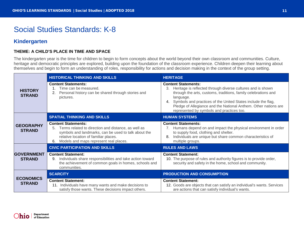# <span id="page-10-0"></span>Social Studies Standards: K-8

# <span id="page-10-1"></span>**Kindergarten**

#### **THEME: A CHILD'S PLACE IN TIME AND SPACE**

The kindergarten year is the time for children to begin to form concepts about the world beyond their own classroom and communities. Culture, heritage and democratic principles are explored, building upon the foundation of the classroom experience. Children deepen their learning about themselves and begin to form an understanding of roles, responsibility for actions and decision making in the context of the group setting.

|                                    | <b>HISTORICAL THINKING AND SKILLS</b>                                                                                                                                                                                                    | <b>HERITAGE</b>                                                                                                                                                                                                                                                                                                                                                   |
|------------------------------------|------------------------------------------------------------------------------------------------------------------------------------------------------------------------------------------------------------------------------------------|-------------------------------------------------------------------------------------------------------------------------------------------------------------------------------------------------------------------------------------------------------------------------------------------------------------------------------------------------------------------|
| <b>HISTORY</b><br><b>STRAND</b>    | <b>Content Statements:</b><br>Time can be measured.<br>Personal history can be shared through stories and<br>2.<br>pictures.                                                                                                             | <b>Content Statements:</b><br>Heritage is reflected through diverse cultures and is shown<br>3.<br>through the arts, customs, traditions, family celebrations and<br>language.<br>4. Symbols and practices of the United States include the flag,<br>Pledge of Allegiance and the National Anthem. Other nations are<br>represented by symbols and practices too. |
|                                    | <b>SPATIAL THINKING AND SKILLS</b>                                                                                                                                                                                                       | <b>HUMAN SYSTEMS</b>                                                                                                                                                                                                                                                                                                                                              |
| <b>GEOGRAPHY</b><br><b>STRAND</b>  | <b>Content Statements:</b><br>Terms related to direction and distance, as well as<br>5.<br>symbols and landmarks, can be used to talk about the<br>relative location of familiar places.<br>Models and maps represent real places.<br>6. | <b>Content Statements:</b><br>Humans depend on and impact the physical environment in order<br>to supply food, clothing and shelter.<br>Individuals are unique but share common characteristics of<br>multiple groups.                                                                                                                                            |
|                                    | <b>CIVIC PARTICIPATION AND SKILLS</b>                                                                                                                                                                                                    | <b>RULES AND LAWS</b>                                                                                                                                                                                                                                                                                                                                             |
| <b>GOVERNMENT</b><br><b>STRAND</b> | <b>Content Statement:</b><br>Individuals share responsibilities and take action toward<br>9.<br>the achievement of common goals in homes, schools and<br>communities.                                                                    | <b>Content Statement:</b><br>10. The purpose of rules and authority figures is to provide order,<br>security and safety in the home, school and community.                                                                                                                                                                                                        |
|                                    | <b>SCARCITY</b>                                                                                                                                                                                                                          | <b>PRODUCTION AND CONSUMPTION</b>                                                                                                                                                                                                                                                                                                                                 |
| <b>ECONOMICS</b><br><b>STRAND</b>  | <b>Content Statement:</b><br>11. Individuals have many wants and make decisions to<br>satisfy those wants. These decisions impact others.                                                                                                | <b>Content Statement:</b><br>12. Goods are objects that can satisfy an individual's wants. Services<br>are actions that can satisfy individual's wants.                                                                                                                                                                                                           |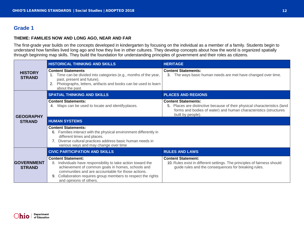# <span id="page-11-0"></span>**Grade 1**

#### **THEME: FAMILIES NOW AND LONG AGO, NEAR AND FAR**

The first-grade year builds on the concepts developed in kindergarten by focusing on the individual as a member of a family. Students begin to understand how families lived long ago and how they live in other cultures. They develop concepts about how the world is organized spatially through beginning map skills. They build the foundation for understanding principles of government and their roles as citizens.

|                                    | <b>HISTORICAL THINKING AND SKILLS</b>                                                                                                                                                                                                                                                            | <b>HERITAGE</b>                                                                                                                                                                                  |
|------------------------------------|--------------------------------------------------------------------------------------------------------------------------------------------------------------------------------------------------------------------------------------------------------------------------------------------------|--------------------------------------------------------------------------------------------------------------------------------------------------------------------------------------------------|
| <b>HISTORY</b><br><b>STRAND</b>    | <b>Content Statements</b><br>Time can be divided into categories (e.g., months of the year,<br>1.<br>past, present and future).<br>Photographs, letters, artifacts and books can be used to learn<br>2.<br>about the past.                                                                       | <b>Content Statements:</b><br>3. The ways basic human needs are met have changed over time.                                                                                                      |
|                                    | <b>SPATIAL THINKING AND SKILLS</b>                                                                                                                                                                                                                                                               | <b>PLACES AND REGIONS</b>                                                                                                                                                                        |
| <b>GEOGRAPHY</b>                   | <b>Content Statements:</b><br>4. Maps can be used to locate and identify places.                                                                                                                                                                                                                 | <b>Content Statements:</b><br>5. Places are distinctive because of their physical characteristics (land<br>forms and bodies of water) and human characteristics (structures<br>built by people). |
| <b>STRAND</b>                      | <b>HUMAN SYSTEMS</b>                                                                                                                                                                                                                                                                             |                                                                                                                                                                                                  |
|                                    | <b>Content Statements:</b><br>Families interact with the physical environment differently in<br>6.<br>different times and places.<br>7. Diverse cultural practices address basic human needs in<br>various ways and may change over time                                                         |                                                                                                                                                                                                  |
|                                    | <b>CIVIC PARTICIPATION AND SKILLS</b>                                                                                                                                                                                                                                                            | <b>RULES AND LAWS</b>                                                                                                                                                                            |
| <b>GOVERNMENT</b><br><b>STRAND</b> | <b>Content Statement:</b><br>8. Individuals have responsibility to take action toward the<br>achievement of common goals in homes, schools and<br>communities and are accountable for those actions.<br>9. Collaboration requires group members to respect the rights<br>and opinions of others. | <b>Content Statement:</b><br>10. Rules exist in different settings. The principles of fairness should<br>guide rules and the consequences for breaking rules.                                    |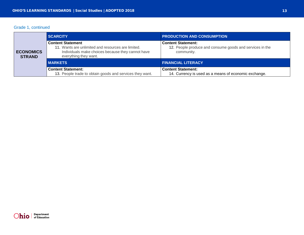#### Grade 1, continued

|                                   | <b>SCARCITY</b>                                                                                                                                              | <b>PRODUCTION AND CONSUMPTION</b>                                                                   |
|-----------------------------------|--------------------------------------------------------------------------------------------------------------------------------------------------------------|-----------------------------------------------------------------------------------------------------|
| <b>ECONOMICS</b><br><b>STRAND</b> | <b>Content Statement</b><br>11. Wants are unlimited and resources are limited.<br>Individuals make choices because they cannot have<br>everything they want. | <b>Content Statement:</b><br>12. People produce and consume goods and services in the<br>community. |
|                                   | <b>I MARKETS</b>                                                                                                                                             | <b>FINANCIAL LITERACY</b>                                                                           |
|                                   | <b>Content Statement:</b><br>13. People trade to obtain goods and services they want.                                                                        | <b>Content Statement:</b><br>14. Currency is used as a means of economic exchange.                  |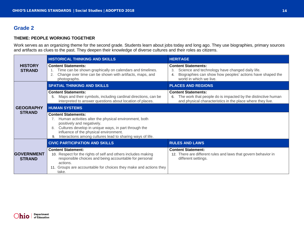# <span id="page-13-0"></span>**Grade 2**

#### **THEME: PEOPLE WORKING TOGETHER**

Work serves as an organizing theme for the second grade. Students learn about jobs today and long ago. They use biographies, primary sources and artifacts as clues to the past. They deepen their knowledge of diverse cultures and their roles as citizens.

|                                    | <b>HISTORICAL THINKING AND SKILLS</b>                                                                                                                                                                                                                                                        | <b>HERITAGE</b>                                                                                                                                                                   |
|------------------------------------|----------------------------------------------------------------------------------------------------------------------------------------------------------------------------------------------------------------------------------------------------------------------------------------------|-----------------------------------------------------------------------------------------------------------------------------------------------------------------------------------|
| <b>HISTORY</b><br><b>STRAND</b>    | <b>Content Statements:</b><br>Time can be shown graphically on calendars and timelines.<br>.1<br>Change over time can be shown with artifacts, maps, and<br>2.<br>photographs.                                                                                                               | <b>Content Statements:</b><br>Science and technology have changed daily life.<br>3.<br>Biographies can show how peoples' actions have shaped the<br>4.<br>world in which we live. |
|                                    | <b>SPATIAL THINKING AND SKILLS</b>                                                                                                                                                                                                                                                           | <b>PLACES AND REGIONS</b>                                                                                                                                                         |
|                                    | <b>Content Statements:</b><br>Maps and their symbols, including cardinal directions, can be<br>5.<br>interpreted to answer questions about location of places.                                                                                                                               | <b>Content Statements:</b><br>The work that people do is impacted by the distinctive human<br>6.<br>and physical characteristics in the place where they live.                    |
| <b>GEOGRAPHY</b>                   | <b>HUMAN SYSTEMS</b>                                                                                                                                                                                                                                                                         |                                                                                                                                                                                   |
| <b>STRAND</b>                      | <b>Content Statements:</b><br>Human activities alter the physical environment, both<br>positively and negatively.<br>Cultures develop in unique ways, in part through the<br>8.<br>influence of the physical environment.<br>Interactions among cultures lead to sharing ways of life.<br>9. |                                                                                                                                                                                   |
|                                    | <b>CIVIC PARTICIPATION AND SKILLS</b>                                                                                                                                                                                                                                                        | <b>RULES AND LAWS</b>                                                                                                                                                             |
| <b>GOVERNMENT</b><br><b>STRAND</b> | <b>Content Statement:</b><br>10. Respect for the rights of self and others includes making<br>responsible choices and being accountable for personal<br>actions.<br>11. Groups are accountable for choices they make and actions they<br>take.                                               | <b>Content Statement:</b><br>12. There are different rules and laws that govern behavior in<br>different settings.                                                                |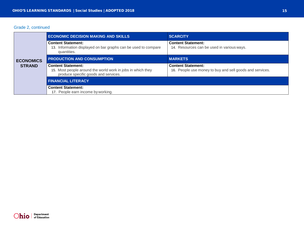#### Grade 2, continued

|                  | <b>ECONOMIC DECISION MAKING AND SKILLS</b>                                                                                       | <b>SCARCITY</b>                                                                       |
|------------------|----------------------------------------------------------------------------------------------------------------------------------|---------------------------------------------------------------------------------------|
|                  | <b>Content Statement:</b><br>13. Information displayed on bar graphs can be used to compare<br>quantities.                       | <b>Content Statement:</b><br>14. Resources can be used in various ways.               |
| <b>ECONOMICS</b> | <b>PRODUCTION AND CONSUMPTION</b>                                                                                                | <b>MARKETS</b>                                                                        |
| <b>STRAND</b>    | <b>Content Statement:</b><br>15. Most people around the world work in jobs in which they<br>produce specific goods and services. | <b>Content Statement:</b><br>16. People use money to buy and sell goods and services. |
|                  | <b>FINANCIAL LITERACY</b>                                                                                                        |                                                                                       |
|                  | <b>Content Statement:</b><br>17. People earn income by working.                                                                  |                                                                                       |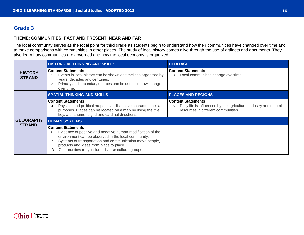# <span id="page-15-0"></span>**Grade 3**

#### **THEME: COMMUNITIES: PAST AND PRESENT, NEAR AND FAR**

The local community serves as the focal point for third grade as students begin to understand how their communities have changed over time and to make comparisons with communities in other places. The study of local history comes alive through the use of artifacts and documents. They also learn how communities are governed and how the local economy is organized.

|                                 | <b>HISTORICAL THINKING AND SKILLS</b>                                                                                                                                                                                                                                                                                   | <b>HERITAGE</b>                                                                                                                              |
|---------------------------------|-------------------------------------------------------------------------------------------------------------------------------------------------------------------------------------------------------------------------------------------------------------------------------------------------------------------------|----------------------------------------------------------------------------------------------------------------------------------------------|
| <b>HISTORY</b><br><b>STRAND</b> | <b>Content Statements:</b><br>Events in local history can be shown on timelines organized by<br>years, decades and centuries.<br>Primary and secondary sources can be used to show change<br>over time.                                                                                                                 | <b>Content Statements:</b><br>Local communities change over time.<br>3.                                                                      |
|                                 | <b>SPATIAL THINKING AND SKILLS</b>                                                                                                                                                                                                                                                                                      | <b>PLACES AND REGIONS</b>                                                                                                                    |
|                                 | <b>Content Statements:</b><br>Physical and political maps have distinctive characteristics and<br>4.<br>purposes. Places can be located on a map by using the title,<br>key, alphanumeric grid and cardinal directions.                                                                                                 | <b>Content Statements:</b><br>Daily life is influenced by the agriculture, industry and natural<br>5.<br>resources in different communities. |
| <b>GEOGRAPHY</b>                | <b>HUMAN SYSTEMS</b>                                                                                                                                                                                                                                                                                                    |                                                                                                                                              |
| <b>STRAND</b>                   | <b>Content Statements:</b><br>Evidence of positive and negative human modification of the<br>6.<br>environment can be observed in the local community.<br>Systems of transportation and communication move people,<br>products and ideas from place to place.<br>Communities may include diverse cultural groups.<br>8. |                                                                                                                                              |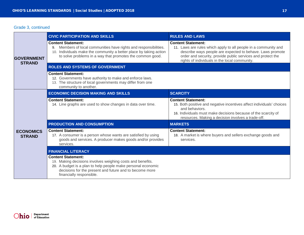# Grade 3, continued

|                                    | <b>CIVIC PARTICIPATION AND SKILLS</b>                                                                                                                                                                                                          | <b>RULES AND LAWS</b>                                                                                                                                                                                                                                                     |
|------------------------------------|------------------------------------------------------------------------------------------------------------------------------------------------------------------------------------------------------------------------------------------------|---------------------------------------------------------------------------------------------------------------------------------------------------------------------------------------------------------------------------------------------------------------------------|
| <b>GOVERNMENT</b><br><b>STRAND</b> | <b>Content Statement:</b><br>9. Members of local communities have rights and responsibilities.<br>10. Individuals make the community a better place by taking action<br>to solve problems in a way that promotes the common good.              | <b>Content Statement:</b><br>11. Laws are rules which apply to all people in a community and<br>describe ways people are expected to behave. Laws promote<br>order and security, provide public services and protect the<br>rights of individuals in the local community. |
|                                    | <b>ROLES AND SYSTEMS OF GOVERNMENT</b>                                                                                                                                                                                                         |                                                                                                                                                                                                                                                                           |
|                                    | <b>Content Statement:</b><br>12. Governments have authority to make and enforce laws.<br>13. The structure of local governments may differ from one<br>community to another.                                                                   |                                                                                                                                                                                                                                                                           |
|                                    | <b>ECONOMIC DECISION MAKING AND SKILLS</b>                                                                                                                                                                                                     | <b>SCARCITY</b>                                                                                                                                                                                                                                                           |
|                                    | <b>Content Statement:</b><br>14. Line graphs are used to show changes in data over time.                                                                                                                                                       | <b>Content Statement:</b><br>15. Both positive and negative incentives affect individuals' choices<br>and behaviors.<br>16. Individuals must make decisions because of the scarcity of<br>resources. Making a decision involves a trade-off.                              |
|                                    | <b>PRODUCTION AND CONSUMPTION</b>                                                                                                                                                                                                              | <b>MARKETS</b>                                                                                                                                                                                                                                                            |
| <b>ECONOMICS</b><br><b>STRAND</b>  | <b>Content Statement:</b><br>17. A consumer is a person whose wants are satisfied by using<br>goods and services. A producer makes goods and/or provides<br>services.                                                                          | <b>Content Statement:</b><br>18. A market is where buyers and sellers exchange goods and<br>services.                                                                                                                                                                     |
|                                    | <b>FINANCIAL LITERACY</b>                                                                                                                                                                                                                      |                                                                                                                                                                                                                                                                           |
|                                    | <b>Content Statement:</b><br>19. Making decisions involves weighing costs and benefits.<br>20. A budget is a plan to help people make personal economic<br>decisions for the present and future and to become more<br>financially responsible. |                                                                                                                                                                                                                                                                           |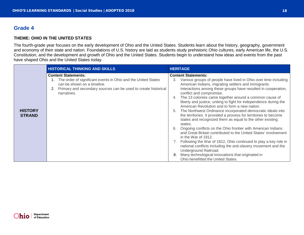# <span id="page-17-0"></span>**Grade 4**

#### **THEME: OHIO IN THE UNITED STATES**

The fourth-grade year focuses on the early development of Ohio and the United States. Students learn about the history, geography, government and economy of their state and nation. Foundations of U.S. history are laid as students study prehistoric Ohio cultures, early American life, the U.S. Constitution, and the development and growth of Ohio and the United States. Students begin to understand how ideas and events from the past have shaped Ohio and the United States today.

| <b>HISTORICAL THINKING AND SKILLS</b>                                                                                                                                                                                                                   | <b>HERITAGE</b>                                                                                                                                                                                                                                                                                                                                                                                                                                                                                                                                                                                                                                                                                                                                                                                                                                                                                                                                                                                                                                                                                   |
|---------------------------------------------------------------------------------------------------------------------------------------------------------------------------------------------------------------------------------------------------------|---------------------------------------------------------------------------------------------------------------------------------------------------------------------------------------------------------------------------------------------------------------------------------------------------------------------------------------------------------------------------------------------------------------------------------------------------------------------------------------------------------------------------------------------------------------------------------------------------------------------------------------------------------------------------------------------------------------------------------------------------------------------------------------------------------------------------------------------------------------------------------------------------------------------------------------------------------------------------------------------------------------------------------------------------------------------------------------------------|
| <b>Content Statements:</b><br>1. The order of significant events in Ohio and the United States<br>can be shown on a timeline.<br>Primary and secondary sources can be used to create historical<br>2.<br>narratives.<br><b>HISTORY</b><br><b>STRAND</b> | <b>Content Statements:</b><br>Various groups of people have lived in Ohio over time including<br>3.<br>American Indians, migrating settlers and immigrants.<br>Interactions among these groups have resulted in cooperation,<br>conflict and compromise.<br>The 13 colonies came together around a common cause of<br>4.<br>liberty and justice, uniting to fight for independence during the<br>American Revolution and to form a new nation.<br>The Northwest Ordinance incorporated democratic ideals into<br>5.<br>the territories. It provided a process for territories to become<br>states and recognized them as equal to the other existing<br>states.<br>Ongoing conflicts on the Ohio frontier with American Indians<br>6.<br>and Great Britain contributed to the United States' involvement<br>in the War of 1812.<br>7. Following the War of 1812, Ohio continued to play a key role in<br>national conflicts including the anti-slavery movement and the<br>Underground Railroad.<br>Many technological innovations that originated in<br>8.<br>Ohio benefitted the United States. |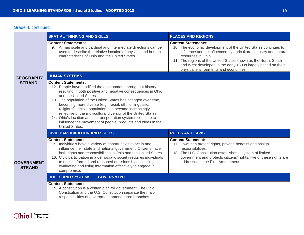#### Grade 4, continued

|                                    | <b>SPATIAL THINKING AND SKILLS</b>                                                                                                                                                                                                                                                                                                                                                                                                                                                                                                                                                               | <b>PLACES AND REGIONS</b>                                                                                                                                                                                                                                                                                                                                        |
|------------------------------------|--------------------------------------------------------------------------------------------------------------------------------------------------------------------------------------------------------------------------------------------------------------------------------------------------------------------------------------------------------------------------------------------------------------------------------------------------------------------------------------------------------------------------------------------------------------------------------------------------|------------------------------------------------------------------------------------------------------------------------------------------------------------------------------------------------------------------------------------------------------------------------------------------------------------------------------------------------------------------|
|                                    | <b>Content Statements:</b><br>9. A map scale and cardinal and intermediate directions can be<br>used to describe the relative location of physical and human<br>characteristics of Ohio and the United States.                                                                                                                                                                                                                                                                                                                                                                                   | <b>Content Statements:</b><br>10. The economic development of the United States continues to<br>influence and be influenced by agriculture, industry and natural<br>resources in Ohio.<br>11. The regions of the United States known as the North, South<br>and West developed in the early 1800s largely based on their<br>physical environments and economies. |
| <b>GEOGRAPHY</b>                   | <b>HUMAN SYSTEMS</b>                                                                                                                                                                                                                                                                                                                                                                                                                                                                                                                                                                             |                                                                                                                                                                                                                                                                                                                                                                  |
| <b>STRAND</b>                      | <b>Content Statements:</b><br>12. People have modified the environment throughout history<br>resulting in both positive and negative consequences in Ohio<br>and the United States.<br>13. The population of the United States has changed over time,<br>becoming more diverse (e.g., racial, ethnic, linguistic,<br>religious). Ohio's population has become increasingly<br>reflective of the multicultural diversity of the United States.<br>14. Ohio's location and its transportation systems continue to<br>influence the movement of people, products and ideas in the<br>United States. |                                                                                                                                                                                                                                                                                                                                                                  |
|                                    | <b>CIVIC PARTICIPATION AND SKILLS</b>                                                                                                                                                                                                                                                                                                                                                                                                                                                                                                                                                            | <b>RULES AND LAWS</b>                                                                                                                                                                                                                                                                                                                                            |
| <b>GOVERNMENT</b><br><b>STRAND</b> | <b>Content Statement:</b><br>15. Individuals have a variety of opportunities to act in and<br>influence their state and national government. Citizens have<br>both rights and responsibilities in Ohio and the United States.<br>16. Civic participation in a democratic society requires individuals<br>to make informed and reasoned decisions by accessing,<br>evaluating and using information effectively to engage in<br>compromise.                                                                                                                                                       | <b>Content Statement:</b><br>17. Laws can protect rights, provide benefits and assign<br>responsibilities.<br>18. The U.S. Constitution establishes a system of limited<br>government and protects citizens' rights; five of these rights are<br>addressed in the First Amendment.                                                                               |
|                                    | <b>ROLES AND SYSTEMS OF GOVERNMENT</b>                                                                                                                                                                                                                                                                                                                                                                                                                                                                                                                                                           |                                                                                                                                                                                                                                                                                                                                                                  |
|                                    | <b>Content Statement:</b><br>19. A constitution is a written plan for government. The Ohio<br>Constitution and the U.S. Constitution separate the major<br>responsibilities of government among three branches.                                                                                                                                                                                                                                                                                                                                                                                  |                                                                                                                                                                                                                                                                                                                                                                  |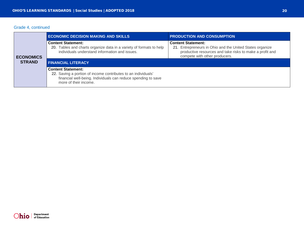#### Grade 4, continued

|                  | <b>ECONOMIC DECISION MAKING AND SKILLS</b>                                                                                                                                           | <b>PRODUCTION AND CONSUMPTION</b>                                                                                                                                                  |
|------------------|--------------------------------------------------------------------------------------------------------------------------------------------------------------------------------------|------------------------------------------------------------------------------------------------------------------------------------------------------------------------------------|
| <b>ECONOMICS</b> | <b>Content Statement:</b><br>20. Tables and charts organize data in a variety of formats to help<br>individuals understand information and issues.                                   | <b>Content Statement:</b><br>21. Entrepreneurs in Ohio and the United States organize<br>productive resources and take risks to make a profit and<br>compete with other producers. |
| <b>STRAND</b>    | <b>FINANCIAL LITERACY</b>                                                                                                                                                            |                                                                                                                                                                                    |
|                  | <b>Content Statement:</b><br>22. Saving a portion of income contributes to an individuals'<br>financial well-being. Individuals can reduce spending to save<br>more of their income. |                                                                                                                                                                                    |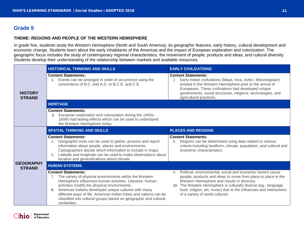# <span id="page-20-0"></span>**Grade 5**

#### **THEME: REGIONS AND PEOPLE OF THE WESTERN HEMISPHERE**

In grade five, students study the Western Hemisphere (North and South America), its geographic features, early history, cultural development and economic change. Students learn about the early inhabitants of the Americas and the impact of European exploration and colonization. The geographic focus includes the study of contemporary regional characteristics, the movement of people, products and ideas, and cultural diversity. Students develop their understanding of the relationship between markets and available resources.

|                                   | <b>HISTORICAL THINKING AND SKILLS</b>                                                                                                                                                                                                                                                                                                                                                                                       | <b>EARLY CIVILIZATIONS</b>                                                                                                                                                                                                                                                                                                                                      |
|-----------------------------------|-----------------------------------------------------------------------------------------------------------------------------------------------------------------------------------------------------------------------------------------------------------------------------------------------------------------------------------------------------------------------------------------------------------------------------|-----------------------------------------------------------------------------------------------------------------------------------------------------------------------------------------------------------------------------------------------------------------------------------------------------------------------------------------------------------------|
| <b>HISTORY</b><br><b>STRAND</b>   | <b>Content Statements:</b><br>Events can be arranged in order of occurrence using the<br>conventions of B.C. and A.D. or B.C.E. and C.E.                                                                                                                                                                                                                                                                                    | <b>Content Statements:</b><br>Early Indian civilizations (Maya, Inca, Aztec, Mississippian)<br>2.<br>existed in the Western Hemisphere prior to the arrival of<br>Europeans. These civilizations had developed unique<br>governments, social structures, religions, technologies, and<br>agricultural practices.                                                |
|                                   | <b>HERITAGE</b>                                                                                                                                                                                                                                                                                                                                                                                                             |                                                                                                                                                                                                                                                                                                                                                                 |
|                                   | <b>Content Statements:</b><br>European exploration and colonization during the 1400s-<br>3.<br>1600s had lasting effects which can be used to understand<br>the Western Hemisphere today.                                                                                                                                                                                                                                   |                                                                                                                                                                                                                                                                                                                                                                 |
|                                   | <b>SPATIAL THINKING AND SKILLS</b>                                                                                                                                                                                                                                                                                                                                                                                          | <b>PLACES AND REGIONS</b>                                                                                                                                                                                                                                                                                                                                       |
|                                   | <b>Content Statements:</b><br>Geographic tools can be used to gather, process and report<br>4.<br>information about people, places and environments.<br>Cartographers decide which information to include in maps.<br>Latitude and longitude can be used to make observations about<br>5.<br>location and generalizations about climate                                                                                     | <b>Content Statements:</b><br>Regions can be determined using data related to various<br>6.<br>criteria including landform, climate, population, and cultural and<br>economic characteristics.                                                                                                                                                                  |
| <b>GEOGRAPHY</b><br><b>STRAND</b> | <b>HUMAN SYSTEMS</b>                                                                                                                                                                                                                                                                                                                                                                                                        |                                                                                                                                                                                                                                                                                                                                                                 |
|                                   | <b>Content Statements:</b><br>7. The variety of physical environments within the Western<br>Hemisphere influences human activities. Likewise, human<br>activities modify the physical environments.<br>American Indians developed unique cultures with many<br>8.<br>different ways of life. American Indian tribes and nations can be<br>classified into cultural groups based on geographic and cultural<br>similarities. | Political, environmental, social and economic factors cause<br>9.<br>people, products and ideas to move from place to place in the<br>Western Hemisphere and results in diversity.<br>10. The Western Hemisphere is culturally diverse (eg., language,<br>food, religion, art, music) due to the influences and interactions<br>of a variety of world cultures. |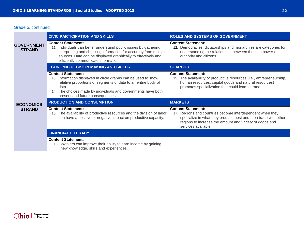#### Grade 5, continued

|  | <b>GOVERNMENT</b><br><b>STRAND</b> | <b>CIVIC PARTICIPATION AND SKILLS</b>                                                                                                                                                                                                                                       | <b>ROLES AND SYSTEMS OF GOVERNMENT</b>                                                                                                                                                                                                     |
|--|------------------------------------|-----------------------------------------------------------------------------------------------------------------------------------------------------------------------------------------------------------------------------------------------------------------------------|--------------------------------------------------------------------------------------------------------------------------------------------------------------------------------------------------------------------------------------------|
|  |                                    | <b>Content Statement:</b><br>11. Individuals can better understand public issues by gathering,<br>interpreting and checking information for accuracy from multiple<br>sources. Data can be displayed graphically to effectively and<br>efficiently communicate information. | <b>Content Statement:</b><br>12. Democracies, dictatorships and monarchies are categories for<br>understanding the relationship between those in power or<br>authority and citizens.                                                       |
|  |                                    | <b>ECONOMIC DECISION MAKING AND SKILLS</b>                                                                                                                                                                                                                                  | <b>SCARCITY</b>                                                                                                                                                                                                                            |
|  | <b>ECONOMICS</b><br><b>STRAND</b>  | <b>Content Statement:</b><br>13. Information displayed in circle graphs can be used to show<br>relative proportions of segments of data to an entire body of<br>data.<br>14. The choices made by individuals and governments have both<br>present and future consequences.  | <b>Content Statement:</b><br>15. The availability of productive resources (i.e., entrepreneurship,<br>human resources, capital goods and natural resources)<br>promotes specialization that could lead to trade.                           |
|  |                                    | <b>PRODUCTION AND CONSUMPTION</b>                                                                                                                                                                                                                                           | <b>MARKETS</b>                                                                                                                                                                                                                             |
|  |                                    | <b>Content Statement:</b><br>16. The availability of productive resources and the division of labor<br>can have a positive or negative impact on productive capacity.                                                                                                       | <b>Content Statement:</b><br>17. Regions and countries become interdependent when they<br>specialize in what they produce best and then trade with other<br>regions to increase the amount and variety of goods and<br>services available. |
|  |                                    | <b>FINANCIAL LITERACY</b>                                                                                                                                                                                                                                                   |                                                                                                                                                                                                                                            |
|  |                                    | <b>Content Statement:</b><br>18. Workers can improve their ability to earn income by gaining<br>new knowledge, skills and experiences.                                                                                                                                      |                                                                                                                                                                                                                                            |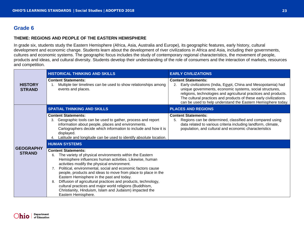# <span id="page-22-0"></span>**Grade 6**

#### **THEME: REGIONS AND PEOPLE OF THE EASTERN HEMISPHERE**

In grade six, students study the Eastern Hemisphere (Africa, Asia, Australia and Europe), its geographic features, early history, cultural development and economic change. Students learn about the development of river civilizations in Africa and Asia, including their governments, cultures and economic systems. The geographic focus includes the study of contemporary regional characteristics, the movement of people, products and ideas, and cultural diversity. Students develop their understanding of the role of consumers and the interaction of markets, resources and competition.

|                                 | <b>HISTORICAL THINKING AND SKILLS</b>                                                                                                                                                                                                                                                                                                                                                                                                                                                                                                                                                                     | <b>EARLY CIVILIZATIONS</b>                                                                                                                                                                                                                                                                                                                                            |
|---------------------------------|-----------------------------------------------------------------------------------------------------------------------------------------------------------------------------------------------------------------------------------------------------------------------------------------------------------------------------------------------------------------------------------------------------------------------------------------------------------------------------------------------------------------------------------------------------------------------------------------------------------|-----------------------------------------------------------------------------------------------------------------------------------------------------------------------------------------------------------------------------------------------------------------------------------------------------------------------------------------------------------------------|
| <b>HISTORY</b><br><b>STRAND</b> | <b>Content Statements:</b><br>Multiple tier timelines can be used to show relationships among<br>1.<br>events and places.                                                                                                                                                                                                                                                                                                                                                                                                                                                                                 | <b>Content Statements:</b><br>Early civilizations (India, Egypt, China and Mesopotamia) had<br>2.<br>unique governments, economic systems, social structures,<br>religions, technologies and agricultural practices and products.<br>The cultural practices and products of these early civilizations<br>can be used to help understand the Eastern Hemisphere today. |
|                                 | <b>SPATIAL THINKING AND SKILLS</b>                                                                                                                                                                                                                                                                                                                                                                                                                                                                                                                                                                        | <b>PLACES AND REGIONS</b>                                                                                                                                                                                                                                                                                                                                             |
|                                 | <b>Content Statements:</b><br>3. Geographic tools can be used to gather, process and report<br>information about people, places and environments.<br>Cartographers decide which information to include and how it is<br>displayed.<br>Latitude and longitude can be used to identify absolute location.                                                                                                                                                                                                                                                                                                   | <b>Content Statements:</b><br>Regions can be determined, classified and compared using<br>5.<br>data related to various criteria including landform, climate,<br>population, and cultural and economic characteristics                                                                                                                                                |
| <b>GEOGRAPHY</b>                | <b>HUMAN SYSTEMS</b>                                                                                                                                                                                                                                                                                                                                                                                                                                                                                                                                                                                      |                                                                                                                                                                                                                                                                                                                                                                       |
| <b>STRAND</b>                   | <b>Content Statements:</b><br>The variety of physical environments within the Eastern<br>6.<br>Hemisphere influences human activities. Likewise, human<br>activities modify the physical environment.<br>7. Political, environmental, social and economic factors cause<br>people, products and ideas to move from place to place in the<br>Eastern Hemisphere in the past and today.<br>Diffusion of agricultural practices and products, technology,<br>8.<br>cultural practices and major world religions (Buddhism,<br>Christianity, Hinduism, Islam and Judaism) impacted the<br>Eastern Hemisphere. |                                                                                                                                                                                                                                                                                                                                                                       |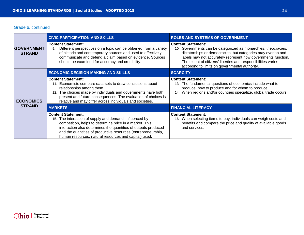# Grade 6, continued

|  | <b>GOVERNMENT</b><br><b>STRAND</b> | <b>CIVIC PARTICIPATION AND SKILLS</b>                                                                                                                                                                                                                                                                                                       | <b>ROLES AND SYSTEMS OF GOVERNMENT</b>                                                                                                                                                                                                                                                                                                          |
|--|------------------------------------|---------------------------------------------------------------------------------------------------------------------------------------------------------------------------------------------------------------------------------------------------------------------------------------------------------------------------------------------|-------------------------------------------------------------------------------------------------------------------------------------------------------------------------------------------------------------------------------------------------------------------------------------------------------------------------------------------------|
|  |                                    | <b>Content Statement:</b><br>Different perspectives on a topic can be obtained from a variety<br>9.<br>of historic and contemporary sources and used to effectively<br>communicate and defend a claim based on evidence. Sources<br>should be examined for accuracy and credibility.                                                        | <b>Content Statement:</b><br>10. Governments can be categorized as monarchies, theocracies,<br>dictatorships or democracies, but categories may overlap and<br>labels may not accurately represent how governments function.<br>The extent of citizens' liberties and responsibilities varies<br>according to limits on governmental authority. |
|  |                                    | <b>ECONOMIC DECISION MAKING AND SKILLS</b>                                                                                                                                                                                                                                                                                                  | <b>SCARCITY</b>                                                                                                                                                                                                                                                                                                                                 |
|  | <b>ECONOMICS</b><br><b>STRAND</b>  | <b>Content Statement:</b><br>11. Economists compare data sets to draw conclusions about<br>relationships among them.<br>12. The choices made by individuals and governments have both<br>present and future consequences. The evaluation of choices is<br>relative and may differ across individuals and societies.                         | <b>Content Statement:</b><br>13. The fundamental questions of economics include what to<br>produce, how to produce and for whom to produce.<br>14. When regions and/or countries specialize, global trade occurs.                                                                                                                               |
|  |                                    | <b>MARKETS</b>                                                                                                                                                                                                                                                                                                                              | <b>FINANCIAL LITERACY</b>                                                                                                                                                                                                                                                                                                                       |
|  |                                    | <b>Content Statement:</b><br>15. The interaction of supply and demand, influenced by<br>competition, helps to determine price in a market. This<br>interaction also determines the quantities of outputs produced<br>and the quantities of productive resources (entrepreneurship,<br>human resources, natural resources and capital) used. | <b>Content Statement:</b><br>16. When selecting items to buy, individuals can weigh costs and<br>benefits and compare the price and quality of available goods<br>and services.                                                                                                                                                                 |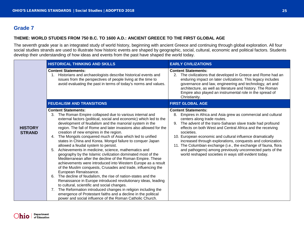# <span id="page-24-0"></span>**Grade 7**

#### **THEME: WORLD STUDIES FROM 750 B.C. TO 1600 A.D.: ANCIENT GREECE TO THE FIRST GLOBAL AGE**

The seventh grade year is an integrated study of world history, beginning with ancient Greece and continuing through global exploration. All four social studies strands are used to illustrate how historic events are shaped by geographic, social, cultural, economic and political factors. Students develop their understanding of how ideas and events from the past have shaped the world today.

|                                 | <b>HISTORICAL THINKING AND SKILLS</b>                                                                                                                                                                                                                                                                                                                                                                                                                                                                                                                                                                                                                                                                                                                                                                                                                                                                                                                                                                                                                                                                                                                                                                                                                | <b>EARLY CIVILIZATIONS</b>                                                                                                                                                                                                                                                                                                                                                                                                                                                                                                                                                                    |
|---------------------------------|------------------------------------------------------------------------------------------------------------------------------------------------------------------------------------------------------------------------------------------------------------------------------------------------------------------------------------------------------------------------------------------------------------------------------------------------------------------------------------------------------------------------------------------------------------------------------------------------------------------------------------------------------------------------------------------------------------------------------------------------------------------------------------------------------------------------------------------------------------------------------------------------------------------------------------------------------------------------------------------------------------------------------------------------------------------------------------------------------------------------------------------------------------------------------------------------------------------------------------------------------|-----------------------------------------------------------------------------------------------------------------------------------------------------------------------------------------------------------------------------------------------------------------------------------------------------------------------------------------------------------------------------------------------------------------------------------------------------------------------------------------------------------------------------------------------------------------------------------------------|
|                                 | <b>Content Statements:</b><br>Historians and archaeologists describe historical events and<br>issues from the perspectives of people living at the time to<br>avoid evaluating the past in terms of today's norms and values.                                                                                                                                                                                                                                                                                                                                                                                                                                                                                                                                                                                                                                                                                                                                                                                                                                                                                                                                                                                                                        | <b>Content Statements:</b><br>2. The civilizations that developed in Greece and Rome had an<br>enduring impact on later civilizations. This legacy includes<br>governance and law, engineering and technology, art and<br>architecture, as well as literature and history. The Roman<br>Empire also played an instrumental role in the spread of<br>Christianity.                                                                                                                                                                                                                             |
|                                 | <b>FEUDALISM AND TRANSITIONS</b>                                                                                                                                                                                                                                                                                                                                                                                                                                                                                                                                                                                                                                                                                                                                                                                                                                                                                                                                                                                                                                                                                                                                                                                                                     | <b>FIRST GLOBAL AGE</b>                                                                                                                                                                                                                                                                                                                                                                                                                                                                                                                                                                       |
| <b>HISTORY</b><br><b>STRAND</b> | <b>Content Statements:</b><br>The Roman Empire collapsed due to various internal and<br>3.<br>external factors (political, social and economic) which led to the<br>development of feudalism and the manorial system in the<br>region. The fall of Rome and later invasions also allowed for the<br>creation of new empires in the region.<br>4. The Mongols conquered much of Asia which led to unified<br>states in China and Korea. Mongol failure to conquer Japan<br>allowed a feudal system to persist.<br>Achievements in medicine, science, mathematics and<br>5.<br>geography by the Islamic civilization dominated most of the<br>Mediterranean after the decline of the Roman Empire. These<br>achievements were introduced into Western Europe as a result<br>of the Muslim conquests, Crusades and trade, influencing the<br>European Renaissance.<br>The decline of feudalism, the rise of nation-states and the<br>6.<br>Renaissance in Europe introduced revolutionary ideas, leading<br>to cultural, scientific and social changes.<br>7. The Reformation introduced changes in religion including the<br>emergence of Protestant faiths and a decline in the political<br>power and social influence of the Roman Catholic Church. | <b>Content Statements:</b><br>Empires in Africa and Asia grew as commercial and cultural<br>8.<br>centers along trade routes.<br>The advent of the trans-Saharan slave trade had profound<br>9.<br>effects on both West and Central Africa and the receiving<br>societies.<br>10. European economic and cultural influence dramatically<br>increased through explorations, conquests and colonization.<br>11. The Columbian exchange (i.e., the exchange of fauna, flora<br>and pathogens) among previously unconnected parts of the<br>world reshaped societies in ways still evident today. |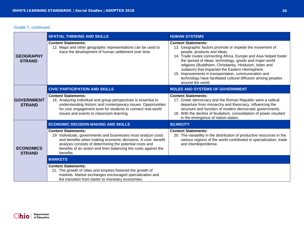## Grade 7, continued

|  |                                     | <b>SPATIAL THINKING AND SKILLS</b>                                                                                                                                                                                                                                                                      | <b>HUMAN SYSTEMS</b>                                                                                                                                                                                                                                                                                                                                                                                                                                                                                           |
|--|-------------------------------------|---------------------------------------------------------------------------------------------------------------------------------------------------------------------------------------------------------------------------------------------------------------------------------------------------------|----------------------------------------------------------------------------------------------------------------------------------------------------------------------------------------------------------------------------------------------------------------------------------------------------------------------------------------------------------------------------------------------------------------------------------------------------------------------------------------------------------------|
|  | <b>GEOGRAPHY</b><br><b>STRAND</b>   | <b>Content Statements:</b><br>12. Maps and other geographic representations can be used to<br>trace the development of human settlement over time.                                                                                                                                                      | <b>Content Statements:</b><br>13. Geographic factors promote or impede the movement of<br>people, products and ideas.<br>14. Trade routes connecting Africa, Europe and Asia helped foster<br>the spread of ideas, technology, goods and major world<br>religions (Buddhism, Christianity, Hinduism, Islam and<br>Judaism) that impacted the Eastern Hemisphere.<br>15. Improvements in transportation, communication and<br>technology have facilitated cultural diffusion among peoples<br>around the world. |
|  |                                     | <b>CIVIC PARTICIPATION AND SKILLS</b>                                                                                                                                                                                                                                                                   | <b>ROLES AND SYSTEMS OF GOVERNMENT</b>                                                                                                                                                                                                                                                                                                                                                                                                                                                                         |
|  | <b>IGOVERNMENT</b><br><b>STRAND</b> | <b>Content Statements:</b><br>16. Analyzing individual and group perspectives is essential to<br>understanding historic and contemporary issues. Opportunities<br>for civic engagement exist for students to connect real-world<br>issues and events to classroom learning.                             | <b>Content Statements:</b><br>17. Greek democracy and the Roman Republic were a radical<br>departure from monarchy and theocracy, influencing the<br>structure and function of modern democratic governments.<br>18. With the decline of feudalism, consolidation of power resulted<br>in the emergence of nation-states.                                                                                                                                                                                      |
|  | <b>ECONOMICS</b><br><b>STRAND</b>   | <b>ECONOMIC DECISION MAKING AND SKILLS</b>                                                                                                                                                                                                                                                              | <b>SCARCITY</b>                                                                                                                                                                                                                                                                                                                                                                                                                                                                                                |
|  |                                     | <b>Content Statements:</b><br>19. Individuals, governments and businesses must analyze costs<br>and benefits when making economic decisions. A cost- benefit<br>analysis consists of determining the potential costs and<br>benefits of an action and then balancing the costs against the<br>benefits. | <b>Content Statements:</b><br>20. The variability in the distribution of productive resources in the<br>various regions of the world contributed to specialization, trade<br>and interdependence.                                                                                                                                                                                                                                                                                                              |
|  |                                     | <b>MARKETS</b>                                                                                                                                                                                                                                                                                          |                                                                                                                                                                                                                                                                                                                                                                                                                                                                                                                |
|  |                                     | <b>Content Statements:</b><br>21. The growth of cities and empires fostered the growth of<br>markets. Market exchanges encouraged specialization and<br>the transition from barter to monetary economies.                                                                                               |                                                                                                                                                                                                                                                                                                                                                                                                                                                                                                                |

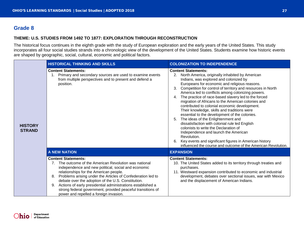# <span id="page-26-0"></span>**Grade 8**

#### **THEME: U.S. STUDIES FROM 1492 TO 1877: EXPLORATION THROUGH RECONSTRUCTION**

The historical focus continues in the eighth grade with the study of European exploration and the early years of the United States. This study incorporates all four social studies strands into a chronologic view of the development of the United States. Students examine how historic events are shaped by geographic, social, cultural, economic and political factors.

|                                 | <b>HISTORICAL THINKING AND SKILLS</b>                                                                                                                                                                                                                                                                                                                                                                                                                                                          | <b>COLONIZATION TO INDEPENDENCE</b>                                                                                                                                                                                                                                                                                                                                                                                                                                                                                                                                                                                                                                                                                                                                                                                                                                                        |
|---------------------------------|------------------------------------------------------------------------------------------------------------------------------------------------------------------------------------------------------------------------------------------------------------------------------------------------------------------------------------------------------------------------------------------------------------------------------------------------------------------------------------------------|--------------------------------------------------------------------------------------------------------------------------------------------------------------------------------------------------------------------------------------------------------------------------------------------------------------------------------------------------------------------------------------------------------------------------------------------------------------------------------------------------------------------------------------------------------------------------------------------------------------------------------------------------------------------------------------------------------------------------------------------------------------------------------------------------------------------------------------------------------------------------------------------|
| <b>HISTORY</b><br><b>STRAND</b> | <b>Content Statements:</b><br>Primary and secondary sources are used to examine events<br>from multiple perspectives and to present and defend a<br>position.                                                                                                                                                                                                                                                                                                                                  | <b>Content Statements:</b><br>2. North America, originally inhabited by American<br>Indians, was explored and colonized by<br>Europeans for economic and religious reasons.<br>3. Competition for control of territory and resources in North<br>America led to conflicts among colonizing powers.<br>4. The practice of race-based slavery led to the forced<br>migration of Africans to the American colonies and<br>contributed to colonial economic development.<br>Their knowledge, skills and traditions were<br>essential to the development of the colonies.<br>5. The ideas of the Enlightenment and<br>dissatisfaction with colonial rule led English<br>colonists to write the Declaration of<br>Independence and launch the American<br>Revolution.<br>Key events and significant figures in American history<br>influenced the course and outcome of the American Revolution. |
|                                 | <b>A NEW NATION</b>                                                                                                                                                                                                                                                                                                                                                                                                                                                                            | <b>EXPANSION</b>                                                                                                                                                                                                                                                                                                                                                                                                                                                                                                                                                                                                                                                                                                                                                                                                                                                                           |
|                                 | <b>Content Statements:</b><br>7. The outcome of the American Revolution was national<br>independence and new political, social and economic<br>relationships for the American people.<br>Problems arising under the Articles of Confederation led to<br>8.<br>debate over the adoption of the U.S. Constitution.<br>Actions of early presidential administrations established a<br>9.<br>strong federal government, provided peaceful transitions of<br>power and repelled a foreign invasion. | <b>Content Statements:</b><br>10. The United States added to its territory through treaties and<br>purchases.<br>11. Westward expansion contributed to economic and industrial<br>development, debates over sectional issues, war with Mexico<br>and the displacement of American Indians.                                                                                                                                                                                                                                                                                                                                                                                                                                                                                                                                                                                                 |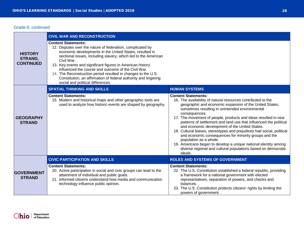#### Grade 8, continued

|                                               | <b>CIVIL WAR AND RECONSTRUCTION</b>                                                                                                                                                                                                                                                                                                                                                                                                                                                                                               |                                                                                                                                                                                                                                                                                                                                                                                                                                                                                                                                                                                                                                                                                                                               |
|-----------------------------------------------|-----------------------------------------------------------------------------------------------------------------------------------------------------------------------------------------------------------------------------------------------------------------------------------------------------------------------------------------------------------------------------------------------------------------------------------------------------------------------------------------------------------------------------------|-------------------------------------------------------------------------------------------------------------------------------------------------------------------------------------------------------------------------------------------------------------------------------------------------------------------------------------------------------------------------------------------------------------------------------------------------------------------------------------------------------------------------------------------------------------------------------------------------------------------------------------------------------------------------------------------------------------------------------|
| <b>HISTORY</b><br>STRAND,<br><b>CONTINUED</b> | <b>Content Statements:</b><br>12. Disputes over the nature of federalism, complicated by<br>economic developments in the United States, resulted in<br>sectional issues, including slavery, which led to the American<br>Civil War.<br>13. Key events and significant figures in American history<br>influenced the course and outcome of the Civil War.<br>14. The Reconstruction period resulted in changes to the U.S.<br>Constitution, an affirmation of federal authority and lingering<br>social and political differences. |                                                                                                                                                                                                                                                                                                                                                                                                                                                                                                                                                                                                                                                                                                                               |
|                                               | <b>SPATIAL THINKING AND SKILLS</b>                                                                                                                                                                                                                                                                                                                                                                                                                                                                                                | <b>HUMAN SYSTEMS</b>                                                                                                                                                                                                                                                                                                                                                                                                                                                                                                                                                                                                                                                                                                          |
| <b>GEOGRAPHY</b><br><b>STRAND</b>             | <b>Content Statements:</b><br>15. Modern and historical maps and other geographic tools are<br>used to analyze how historic events are shaped by geography.                                                                                                                                                                                                                                                                                                                                                                       | <b>Content Statements:</b><br>16. The availability of natural resources contributed to the<br>geographic and economic expansion of the United States,<br>sometimes resulting in unintended environmental<br>consequences.<br>17. The movement of people, products and ideas resulted in new<br>patterns of settlement and land use that influenced the political<br>and economic development of the United States.<br>18. Cultural biases, stereotypes and prejudices had social, political<br>and economic consequences for minority groups and the<br>population as a whole.<br>19. Americans began to develop a unique national identity among<br>diverse regional and cultural populations based on democratic<br>ideals. |
| <b>GOVERNMENT</b><br><b>STRAND</b>            | <b>CIVIC PARTICIPATION AND SKILLS</b>                                                                                                                                                                                                                                                                                                                                                                                                                                                                                             | <b>ROLES AND SYSTEMS OF GOVERNMENT</b>                                                                                                                                                                                                                                                                                                                                                                                                                                                                                                                                                                                                                                                                                        |
|                                               | <b>Content Statements:</b><br>20. Active participation in social and civic groups can lead to the<br>attainment of individual and public goals.<br>21. Informed citizens understand how media and communication<br>technology influence public opinion.                                                                                                                                                                                                                                                                           | <b>Content Statements:</b><br>22. The U.S. Constitution established a federal republic, providing<br>a framework for a national government with elected<br>representatives, separation of powers, and checks and<br>balances.<br>23. The U.S. Constitution protects citizens' rights by limiting the<br>powers of government.                                                                                                                                                                                                                                                                                                                                                                                                 |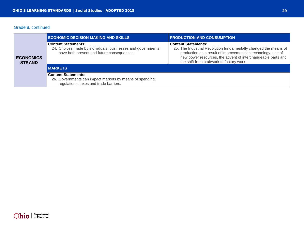# Grade 8, continued

|  |                                   | <b>ECONOMIC DECISION MAKING AND SKILLS</b>                                                                                              | <b>PRODUCTION AND CONSUMPTION</b>                                                                                                                                                                                                                                           |
|--|-----------------------------------|-----------------------------------------------------------------------------------------------------------------------------------------|-----------------------------------------------------------------------------------------------------------------------------------------------------------------------------------------------------------------------------------------------------------------------------|
|  | <b>ECONOMICS</b><br><b>STRAND</b> | <b>Content Statements:</b><br>24. Choices made by individuals, businesses and governments<br>have both present and future consequences. | <b>Content Statements:</b><br>25. The Industrial Revolution fundamentally changed the means of<br>production as a result of improvements in technology, use of<br>new power resources, the advent of interchangeable parts and<br>the shift from craftwork to factory work. |
|  |                                   | MARKETS                                                                                                                                 |                                                                                                                                                                                                                                                                             |
|  |                                   | <b>Content Statements:</b><br>26. Governments can impact markets by means of spending,<br>regulations, taxes and trade barriers.        |                                                                                                                                                                                                                                                                             |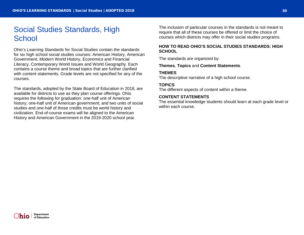# <span id="page-29-0"></span>Social Studies Standards, High **School**

Ohio's Learning Standards for Social Studies contain the standards for six high school social studies courses: American History, American Government, Modern World History, Economics and Financial Literacy, Contemporary World Issues and World Geography. Each contains a course theme and broad topics that are further clarified with content statements. Grade levels are not specified for any of the courses.

The standards, adopted by the State Board of Education in 2018, are available for districts to use as they plan course offerings. Ohio requires the following for graduation: one-half unit of American history; one-half unit of American government; and two units of social studies and one-half of those credits must be world history and civilization. End-of-course exams will be aligned to the American History and American Government in the 2019-2020 school year.

The inclusion of particular courses in the standards is not meant to require that all of these courses be offered or limit the choice of courses which districts may offer in their social studies programs.

#### <span id="page-29-1"></span>**HOW TO READ OHIO'S SOCIAL STUDIES STANDARDS: HIGH SCHOOL**

The standards are organized by:

**Themes**, **Topics** and **Content Statements**.

#### **THEMES**

The descriptive narrative of a high school course.

#### **TOPICS**

The different aspects of content within a theme.

#### **CONTENT STATEMENTS**

The essential knowledge students should learn at each grade level or within each course.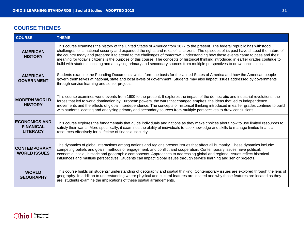# <span id="page-30-0"></span>**COURSE THEMES**

| <b>COURSE</b>                                               | <b>THEME</b>                                                                                                                                                                                                                                                                                                                                                                                                                                                                                                                                                                                                                                                                           |  |
|-------------------------------------------------------------|----------------------------------------------------------------------------------------------------------------------------------------------------------------------------------------------------------------------------------------------------------------------------------------------------------------------------------------------------------------------------------------------------------------------------------------------------------------------------------------------------------------------------------------------------------------------------------------------------------------------------------------------------------------------------------------|--|
| <b>AMERICAN</b><br><b>HISTORY</b>                           | This course examines the history of the United States of America from 1877 to the present. The federal republic has withstood<br>challenges to its national security and expanded the rights and roles of its citizens. The episodes of its past have shaped the nature of<br>the country today and prepared it to attend to the challenges of tomorrow. Understanding how these events came to pass and their<br>meaning for today's citizens is the purpose of this course. The concepts of historical thinking introduced in earlier grades continue to<br>build with students locating and analyzing primary and secondary sources from multiple perspectives to draw conclusions. |  |
| <b>AMERICAN</b><br><b>GOVERNMENT</b>                        | Students examine the Founding Documents, which form the basis for the United States of America and how the American people<br>govern themselves at national, state and local levels of government. Students may also impact issues addressed by governments<br>through service learning and senior projects.                                                                                                                                                                                                                                                                                                                                                                           |  |
| <b>MODERN WORLD</b><br><b>HISTORY</b>                       | This course examines world events from 1600 to the present. It explores the impact of the democratic and industrial revolutions, the<br>forces that led to world domination by European powers, the wars that changed empires, the ideas that led to independence<br>movements and the effects of global interdependence. The concepts of historical thinking introduced in earlier grades continue to build<br>with students locating and analyzing primary and secondary sources from multiple perspectives to draw conclusions.                                                                                                                                                     |  |
| <b>ECONOMICS AND</b><br><b>FINANICAL</b><br><b>LITERACY</b> | This course explores the fundamentals that guide individuals and nations as they make choices about how to use limited resources to<br>satisfy their wants. More specifically, it examines the ability of individuals to use knowledge and skills to manage limited financial<br>resources effectively for a lifetime of financial security.                                                                                                                                                                                                                                                                                                                                           |  |
| <b>CONTEMPORARY</b><br><b>WORLD ISSUES</b>                  | The dynamics of global interactions among nations and regions present issues that affect all humanity. These dynamics include:<br>competing beliefs and goals; methods of engagement; and conflict and cooperation. Contemporary issues have political,<br>economic, social, historic and geographic components. Approaches to addressing global and regional issues reflect historical<br>influences and multiple perspectives. Students can impact global issues through service learning and senior projects.                                                                                                                                                                       |  |
| <b>WORLD</b><br><b>GEOGRAPHY</b>                            | This course builds on students' understanding of geography and spatial thinking. Contemporary issues are explored through the lens of<br>geography. In addition to understanding where physical and cultural features are located and why those features are located as they<br>are, students examine the implications of these spatial arrangements.                                                                                                                                                                                                                                                                                                                                  |  |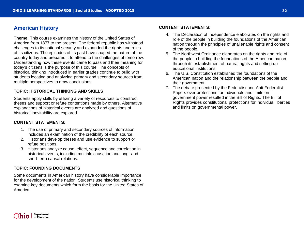# <span id="page-31-0"></span>**American History**

**Theme:** This course examines the history of the United States of America from 1877 to the present. The federal republic has withstood challenges to its national security and expanded the rights and roles of its citizens. The episodes of its past have shaped the nature of the country today and prepared it to attend to the challenges of tomorrow. Understanding how these events came to pass and their meaning for today's citizens is the purpose of this course. The concepts of historical thinking introduced in earlier grades continue to build with students locating and analyzing primary and secondary sources from multiple perspectives to draw conclusions.

#### **TOPIC: HISTORICAL THINKING AND SKILLS**

Students apply skills by utilizing a variety of resources to construct theses and support or refute contentions made by others. Alternative explanations of historical events are analyzed and questions of historical inevitability are explored.

#### **CONTENT STATEMENTS:**

- 1. The use of primary and secondary sources of information includes an examination of the credibility of each source.
- 2. Historians develop theses and use evidence to support or refute positions.
- 3. Historians analyze cause, effect, sequence and correlation in historical events, including multiple causation and long- and short-term causal relations.

#### **TOPIC: FOUNDING DOCUMENTS**

Some documents in American history have considerable importance for the development of the nation. Students use historical thinking to examine key documents which form the basis for the United States of America.

- 4. The Declaration of Independence elaborates on the rights and role of the people in building the foundations of the American nation through the principles of unalienable rights and consent of the people.
- 5. The Northwest Ordinance elaborates on the rights and role of the people in building the foundations of the American nation through its establishment of natural rights and setting up educational institutions.
- 6. The U.S. Constitution established the foundations of the American nation and the relationship between the people and their government.
- 7. The debate presented by the Federalist and Anti-Federalist Papers over protections for individuals and limits on government power resulted in the Bill of Rights. The Bill of Rights provides constitutional protections for individual liberties and limits on governmental power.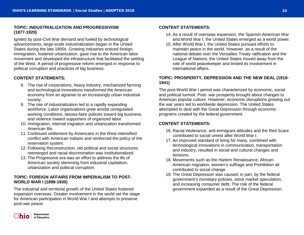#### **TOPIC: INDUSTRIALIZATION AND PROGRESSIVISM (1877-1920)**

Ignited by post-Civil War demand and fueled by technological advancements, large-scale industrialization began in the United States during the late 1800s. Growing industries enticed foreign immigration, fostered urbanization, gave rise to the American labor movement and developed the infrastructure that facilitated the settling of the West. A period of progressive reform emerged in response to political corruption and practices of big business.

#### **CONTENT STATEMENTS:**

- 8. The rise of corporations, heavy industry, mechanized farming and technological innovations transformed the American economy from an agrarian to an increasingly urban industrial society.
- 9. The rise of industrialization led to a rapidly expanding workforce. Labor organizations grew amidst unregulated working conditions, laissez-faire policies toward big business, and violence toward supporters of organized labor.
- 10. Immigration, internal migration and urbanization transformed American life.
- 11. Continued settlement by Americans in the West intensified conflict with American Indians and reinforced the policy of the reservation system.
- 12. Following Reconstruction, old political and social structures reemerged and racial discrimination was institutionalized.
- 13. The Progressive era was an effort to address the ills of American society stemming from industrial capitalism, urbanization and political corruption.

#### **TOPIC: FOREIGN AFFAIRS FROM IMPERIALISM TO POST-WORLD WAR I (1898-1930)**

The industrial and territorial growth of the United States fostered expansion overseas. Greater involvement in the world set the stage for American participation in World War I and attempts to preserve post-war peace.

#### **CONTENT STATEMENTS:**

- 14. As a result of overseas expansion, the Spanish-American War and World War I, the United States emerged as a world power.
- 15. After World War I, the United States pursued efforts to maintain peace in the world. However, as a result of the national debate over the Versailles Treaty ratification and the League of Nations, the United States moved away from the role of world peacekeeper and limited its involvement in international affairs.

#### **TOPIC: PROSPERITY, DEPRESSION AND THE NEW DEAL (1919- 1941)**

The post-World War I period was characterized by economic, social and political turmoil. Post- war prosperity brought about changes to American popular culture. However, economic disruptions growing out the war years led to worldwide depression. The United States attempted to deal with the Great Depression through economic programs created by the federal government.

- 16. Racial intolerance, anti-immigrant attitudes and the Red Scare contributed to social unrest after World War I.
- 17. An improved standard of living for many, combined with technological innovations in communication, transportation and industry, resulted in social and cultural changes and tensions.
- 18. Movements such as the Harlem Renaissance, African-American migration, women's suffrage and Prohibition all contributed to social change.
- 19. The Great Depression was caused, in part, by the federal government's monetary policies, stock market speculation, and increasing consumer debt. The role of the federal government expanded as a result of the Great Depression.

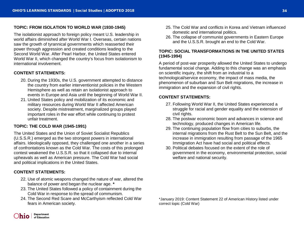#### **TOPIC: FROM ISOLATION TO WORLD WAR (1930-1945)**

The isolationist approach to foreign policy meant U.S. leadership in world affairs diminished after World War I. Overseas, certain nations saw the growth of tyrannical governments which reasserted their power through aggression and created conditions leading to the Second World War. After Pearl Harbor, the United States entered World War II, which changed the country's focus from isolationism to international involvement.

#### **CONTENT STATEMENTS:**

- 20. During the 1930s, the U.S. government attempted to distance the country from earlier interventionist policies in the Western Hemisphere as well as retain an isolationist approach to events in Europe and Asia until the beginning of World War II.
- 21. United States policy and mobilization of its economic and military resources during World War II affected American society. Despite mistreatment, marginalized groups played important roles in the war effort while continuing to protest unfair treatment.

#### **TOPIC: THE COLD WAR (1945-1991)**

The United States and the Union of Soviet Socialist Republics (U.S.S.R.) emerged as the two strongest powers in international affairs. Ideologically opposed, they challenged one another in a series of confrontations known as the Cold War. The costs of this prolonged contest weakened the U.S.S.R. so that it collapsed due to internal upheavals as well as American pressure. The Cold War had social and political implications in the United States.

#### **CONTENT STATEMENTS:**

- 22. Use of atomic weapons changed the nature of war, altered the balance of power and began the nuclear age. **\***
- 23. The United States followed a policy of containment during the Cold War in response to the spread of communism.
- 24. The Second Red Scare and McCarthyism reflected Cold War fears in American society.
- 25. The Cold War and conflicts in Korea and Vietnam influenced domestic and international politics.
- 26. The collapse of communist governments in Eastern Europe and the U.S.S.R. brought an end to the Cold War.

#### **TOPIC: SOCIAL TRANSFORMATIONS IN THE UNITED STATES (1945-1994)**

A period of post-war prosperity allowed the United States to undergo fundamental social change. Adding to this change was an emphasis on scientific inquiry, the shift from an industrial to a technological/service economy, the impact of mass media, the phenomenon of suburban and Sun Belt migrations, the increase in immigration and the expansion of civil rights.

#### **CONTENT STATEMENTS:**

- 27. Following World War II, the United States experienced a struggle for racial and gender equality and the extension of civil rights.
- 28. The postwar economic boom and advances in science and technology, produced changes in American life.
- 29. The continuing population flow from cities to suburbs, the internal migrations from the Rust Belt to the Sun Belt, and the increase in immigration resulting from passage of the 1965 Immigration Act have had social and political effects.
- 30. Political debates focused on the extent of the role of government in the economy, environmental protection, social welfare and national security.

\*January 2019: Content Statement 22 of American History listed under correct topic (Cold War)

**Department**  $\ln$ 10  $\frac{1}{2}$  of Education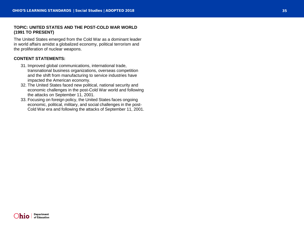#### **TOPIC: UNITED STATES AND THE POST -COLD WAR WORLD (1991 TO PRESENT)**

The United States emerged from the Cold War as a dominant leader in world affairs amidst a globalized economy, political terrorism and the proliferation of nuclear weapons.

- 31. Improved global communications, international trade, transnational business organizations, overseas competition and the shift from manufacturing to service industries have impacted the American economy.
- 32. The United States faced new political, national security and economic challenges in the post -Cold War world and following the attacks on September 11, 2001.
- 33. Focusing on foreign policy, the United States faces ongoing economic, political, military, and social challenges in the post - Cold War era and following the attacks of September 11, 2001.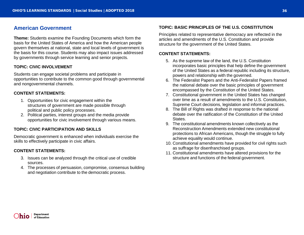# <span id="page-35-0"></span>**American Government**

**Theme:** Students examine the Founding Documents which form the basis for the United States of America and how the American people govern themselves at national, state and local levels of government is the basis for this course. Students may also impact issues addressed by governments through service learning and senior projects.

#### **TOPIC: CIVIC INVOLVEMENT**

Students can engage societal problems and participate in opportunities to contribute to the common good through governmental and nongovernmental channels.

#### **CONTENT STATEMENTS:**

- 1. Opportunities for civic engagement within the structures of government are made possible through political and public policy processes.
- 2. Political parties, interest groups and the media provide opportunities for civic involvement through various means.

#### **TOPIC: CIVIC PARTICIPATION AND SKILLS**

Democratic government is enhanced when individuals exercise the skills to effectively participate in civic affairs.

#### **CONTENT STATEMENTS:**

- 3. Issues can be analyzed through the critical use of credible sources.
- 4. The processes of persuasion, compromise, consensus building and negotiation contribute to the democratic process.

#### **TOPIC: BASIC PRINCIPLES OF THE U.S. CONSTITUTION**

Principles related to representative democracy are reflected in the articles and amendments of the U.S. Constitution and provide structure for the government of the United States.

- 5. As the supreme law of the land, the U.S. Constitution incorporates basic principles that help define the government of the United States as a federal republic including its structure, powers and relationship with the governed.
- 6. The Federalist Papers and the Anti-Federalist Papers framed the national debate over the basic principles of government encompassed by the Constitution of the United States.
- 7. Constitutional government in the United States has changed over time as a result of amendments to the U.S. Constitution, Supreme Court decisions, legislation and informal practices.
- 8. The Bill of Rights was drafted in response to the national debate over the ratification of the Constitution of the United States.
- 9. The constitutional amendments known collectively as the Reconstruction Amendments extended new constitutional protections to African Americans, though the struggle to fully achieve equality would continue.
- 10. Constitutional amendments have provided for civil rights such as suffrage for disenfranchised groups.
- 11. Constitutional amendments have altered provisions for the structure and functions of the federal government.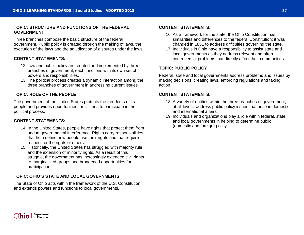#### **TOPIC: STRUCTURE AND FUNCTIONS OF THE FEDERAL GOVERNMENT**

Three branches compose the basic structure of the federal government. Public policy is created through the making of laws, the execution of the laws and the adjudication of disputes under the laws.

#### **CONTENT STATEMENTS:**

- 12. Law and public policy are created and implemented by three branches of government; each functions with its own set of powers and responsibilities.
- 13. The political process creates a dynamic interaction among the three branches of government in addressing current issues.

#### **TOPIC: ROLE OF THE PEOPLE**

The government of the United States protects the freedoms of its people and provides opportunities for citizens to participate in the political process.

#### **CONTENT STATEMENTS:**

- 14. In the United States, people have rights that protect them from undue governmental interference. Rights carry responsibilities that help define how people use their rights and that require respect for the rights of others.
- 15. Historically, the United States has struggled with majority rule and the extension of minority rights. As a result of this struggle, the government has increasingly extended civil rights to marginalized groups and broadened opportunities for participation.

#### **TOPIC: OHIO'S STATE AND LOCAL GOVERNMENTS**

The State of Ohio acts within the framework of the U.S. Constitution and extends powers and functions to local governments.

#### **CONTENT STATEMENTS:**

- 16. As a framework for the state, the Ohio Constitution has similarities and differences to the federal Constitution; it was changed in 1851 to address difficulties governing the state.
- 17. Individuals in Ohio have a responsibility to assist state and local governments as they address relevant and often controversial problems that directly affect their communities.

#### **TOPIC: PUBLIC POLICY**

Federal, state and local governments address problems and issues by making decisions, creating laws, enforcing regulations and taking action.

- 18. A variety of entities within the three branches of government, at all levels, address public policy issues that arise in domestic and international affairs.
- 19. Individuals and organizations play a role within federal, state and local governments in helping to determine public (domestic and foreign) policy.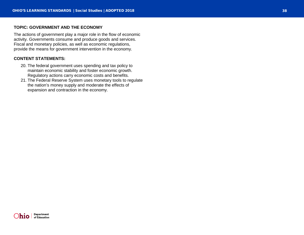#### **TOPIC: GOVERNMENT AND THE ECONOMY**

The actions of government play a major role in the flow of economic activity. Governments consume and produce goods and services. Fiscal and monetary policies, as well as economic regulations, provide the means for government intervention in the economy.

- 20. The federal government uses spending and tax policy to maintain economic stability and foster economic growth. Regulatory actions carry economic costs and benefits.
- 21. The Federal Reserve System uses monetary tools to regulate the nation's money supply and moderate the effects of expansion and contraction in the economy.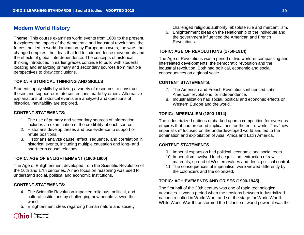# <span id="page-38-0"></span>**Modern World History**

**Theme:** This course examines world events from 1600 to the present. It explores the impact of the democratic and industrial revolutions, the forces that led to world domination by European powers, the wars that changed empires, the ideas that led to independence movements and the effects of global interdependence. The concepts of historical thinking introduced in earlier grades continue to build with students locating and analyzing primary and secondary sources from multiple perspectives to draw conclusions.

#### **TOPIC: HISTORICAL THINKING AND SKILLS**

Students apply skills by utilizing a variety of resources to construct theses and support or refute contentions made by others. Alternative explanations of historical events are analyzed and questions of historical inevitability are explored.

#### **CONTENT STATEMENTS:**

- 1. The use of primary and secondary sources of information includes an examination of the credibility of each source.
- 2. Historians develop theses and use evidence to support or refute positions.
- 3. Historians analyze cause, effect, sequence, and correlation in historical events, including multiple causation and long- and short-term causal relations.

#### **TOPIC: AGE OF ENLIGHTENMENT (1600-1800)**

The Age of Enlightenment developed from the Scientific Revolution of the 16th and 17th centuries. A new focus on reasoning was used to understand social, political and economic institutions.

#### **CONTENT STATEMENTS:**

- 4. The Scientific Revolution impacted religious, political, and cultural institutions by challenging how people viewed the world.
- 5. Enlightenment ideas regarding human nature and society



- challenged religious authority, absolute rule and mercantilism.
- 6. Enlightenment ideas on the relationship of the individual and the government influenced the American and French Revolutions.

#### **TOPIC: AGE OF REVOLUTIONS (1750-1914)**

The Age of Revolutions was a period of two world-encompassing and interrelated developments: the democratic revolution and the industrial revolution. Both had political, economic and social consequences on a global scale.

#### **CONTENT STATEMENTS:**

- 7. The American and French Revolutions influenced Latin American revolutions for independence.
- 8. Industrialization had social, political and economic effects on Western Europe and the world.

#### **TOPIC: IMPERIALISM (1800-1914)**

The industrialized nations embarked upon a competition for overseas empires that had profound implications for the entire world. This "new imperialism" focused on the underdeveloped world and led to the domination and exploitation of Asia, Africa and Latin America.

#### **CONTENT STATEMENTS:**

- 9. Imperial expansion had political, economic and social roots.
- 10. Imperialism involved land acquisition, extraction of raw materials, spread of Western values and direct political control.
- 11. The consequences of imperialism were viewed differently by the colonizers and the colonized.

#### **TOPIC: ACHIEVEMENTS AND CRISES (1900-1945)**

The first half of the 20th century was one of rapid technological advances. It was a period when the tensions between industrialized nations resulted in World War I and set the stage for World War II. While World War II transformed the balance of world power, it was the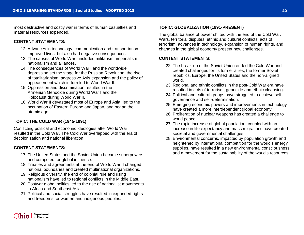most destructive and costly war in terms of human casualties and material resources expended.

#### **CONTENT STATEMENTS:**

- 12. Advances in technology, communication and transportation improved lives, but also had negative consequences.
- 13. The causes of World War I included militarism, imperialism, nationalism and alliances.
- 14. The consequences of World War I and the worldwide depression set the stage for the Russian Revolution, the rise of totalitarianism, aggressive Axis expansion and the policy of appeasement which in turn led to World War II.
- 15. Oppression and discrimination resulted in the Armenian Genocide during World War I and the Holocaust during World War II.
- 16. World War II devastated most of Europe and Asia, led to the occupation of Eastern Europe and Japan, and began the atomic age.

#### **TOPIC: THE COLD WAR (1945-1991)**

Conflicting political and economic ideologies after World War II resulted in the Cold War. The Cold War overlapped with the era of decolonization and national liberation.

#### **CONTENT STATEMENTS:**

- 17. The United States and the Soviet Union became superpowers and competed for global influence.
- 18. Treaties and agreements at the end of World War II changed national boundaries and created multinational organizations.
- 19. Religious diversity, the end of colonial rule and rising nationalism have led to regional conflicts in the Middle East.
- 20. Postwar global politics led to the rise of nationalist movements in Africa and Southeast Asia.
- 21. Political and social struggles have resulted in expanded rights and freedoms for women and indigenous peoples.

#### **TOPIC: GLOBALIZATION (1991-PRESENT)**

The global balance of power shifted with the end of the Cold War. Wars, territorial disputes, ethnic and cultural conflicts, acts of terrorism, advances in technology, expansion of human rights, and changes in the global economy present new challenges.

- 22. The break-up of the Soviet Union ended the Cold War and created challenges for its former allies, the former Soviet republics, Europe, the United States and the non-aligned world.
- 23. Regional and ethnic conflicts in the post-Cold War era have resulted in acts of terrorism, genocide and ethnic cleansing.
- 24. Political and cultural groups have struggled to achieve selfgovernance and self-determination.
- 25. Emerging economic powers and improvements in technology have created a more interdependent global economy.
- 26. Proliferation of nuclear weapons has created a challenge to world peace.
- 27. The rapid increase of global population, coupled with an increase in life expectancy and mass migrations have created societal and governmental challenges.
- 28. Environmental concerns, impacted by population growth and heightened by international competition for the world's energy supplies, have resulted in a new environmental consciousness and a movement for the sustainability of the world's resources.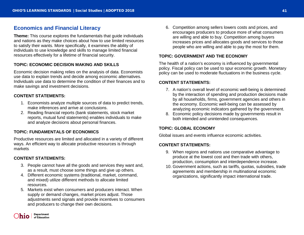# <span id="page-40-0"></span>**Economics and Financial Literacy**

**Theme:** This course explores the fundamentals that guide individuals and nations as they make choices about how to use limited resources to satisfy their wants. More specifically, it examines the ability of individuals to use knowledge and skills to manage limited financial resources effectively for a lifetime of financial security.

#### **TOPIC: ECONOMIC DECISION MAKING AND SKILLS**

Economic decision making relies on the analysis of data. Economists use data to explain trends and decide among economic alternatives. Individuals use data to determine the condition of their finances and to make savings and investment decisions.

#### **CONTENT STATEMENTS:**

- 1. Economists analyze multiple sources of data to predict trends, make inferences and arrive at conclusions.
- 2. Reading financial reports (bank statements, stock market reports, mutual fund statements) enables individuals to make and analyze decisions about personal finances.

#### **TOPIC: FUNDAMENTALS OF ECONOMICS**

Productive resources are limited and allocated in a variety of different ways. An efficient way to allocate productive resources is through markets.

#### **CONTENT STATEMENTS:**

- 3. People cannot have all the goods and services they want and, as a result, must choose some things and give up others.
- 4. Different economic systems (traditional, market, command, and mixed) utilize different methods to allocate limited resources.
- 5. Markets exist when consumers and producers interact. When supply or demand changes, market prices adjust. Those adjustments send signals and provide incentives to consumers and producers to change their own decisions.

6. Competition among sellers lowers costs and prices, and encourages producers to produce more of what consumers are willing and able to buy. Competition among buyers increases prices and allocates goods and services to those people who are willing and able to pay the most for them.

#### **TOPIC: GOVERNMENT AND THE ECONOMY**

The health of a nation's economy is influenced by governmental policy. Fiscal policy can be used to spur economic growth. Monetary policy can be used to moderate fluctuations in the business cycle.

#### **CONTENT STATEMENTS:**

- 7. A nation's overall level of economic well-being is determined by the interaction of spending and production decisions made by all households, firms, government agencies and others in the economy. Economic well-being can be assessed by analyzing economic indicators gathered by the government.
- 8. Economic policy decisions made by governments result in both intended and unintended consequences.

#### **TOPIC: GLOBAL ECONOMY**

Global issues and events influence economic activities.

- 9. When regions and nations use comparative advantage to produce at the lowest cost and then trade with others, production, consumption and interdependence increase.
- 10. Government actions, such as tariffs, quotas, subsidies, trade agreements and membership in multinational economic organizations, significantly impact international trade.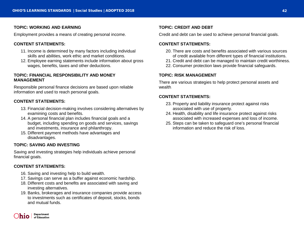#### **TOPIC: WORKING AND EARNING**

Employment provides a means of creating personal income.

#### **CONTENT STATEMENTS:**

- 11. Income is determined by many factors including individual skills and abilities, work ethic and market conditions.
- 12. Employee earning statements include information about gross wages, benefits, taxes and other deductions.

#### **TOPIC: FINANCIAL RESPONSIBILITY AND MONEY MANAGEMENT**

Responsible personal finance decisions are based upon reliable information and used to reach personal goals.

#### **CONTENT STATEMENTS:**

- 13. Financial decision-making involves considering alternatives by examining costs and benefits.
- 14. A personal financial plan includes financial goals and a budget, including spending on goods and services, savings and investments, insurance and philanthropy.
- 15. Different payment methods have advantages and disadvantages.

#### **TOPIC: SAVING AND INVESTING**

Saving and investing strategies help individuals achieve personal financial goals.

#### **CONTENT STATEMENTS:**

- 16. Saving and investing help to build wealth.
- 17. Savings can serve as a buffer against economic hardship.
- 18. Different costs and benefits are associated with saving and investing alternatives.
- 19. Banks, brokerages and insurance companies provide access to investments such as certificates of deposit, stocks, bonds and mutual funds.

#### **TOPIC: CREDIT AND DEBT**

Credit and debt can be used to achieve personal financial goals.

#### **CONTENT STATEMENTS:**

- 20. There are costs and benefits associated with various sources of credit available from different types of financial institutions.
- 21. Credit and debt can be managed to maintain credit worthiness.
- 22. Consumer protection laws provide financial safeguards.

#### **TOPIC: RISK MANAGEMENT**

There are various strategies to help protect personal assets and wealth.

- 23. Property and liability insurance protect against risks associated with use of property.
- 24. Health, disability and life insurance protect against risks associated with increased expenses and loss of income.
- 25. Steps can be taken to safeguard one's personal financial information and reduce the risk of loss.

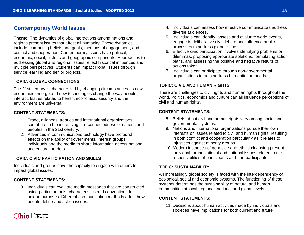# <span id="page-42-0"></span>**Contemporary World Issues**

**Theme:** The dynamics of global interactions among nations and regions present issues that affect all humanity. These dynamics include: competing beliefs and goals; methods of engagement; and conflict and cooperation. Contemporary issues have political, economic, social, historic and geographic components. Approaches to addressing global and regional issues reflect historical influences and multiple perspectives. Students can impact global issues through service learning and senior projects.

#### **TOPIC: GLOBAL CONNECTIONS**

The 21st century is characterized by changing circumstances as new economies emerge and new technologies change the way people interact. Issues related to health, economics, security and the environment are universal.

#### **CONTENT STATEMENTS:**

- 1. Trade, alliances, treaties and international organizations contribute to the increasing interconnectedness of nations and peoples in the 21st century.
- 2. Advances in communications technology have profound effects on the ability of governments, interest groups, individuals and the media to share information across national and cultural borders.

#### **TOPIC: CIVIC PARTICIPATION AND SKILLS**

Individuals and groups have the capacity to engage with others to impact global issues.

#### **CONTENT STATEMENTS:**

3. Individuals can evaluate media messages that are constructed using particular tools, characteristics and conventions for unique purposes. Different communication methods affect how people define and act on issues.

- 4. Individuals can assess how effective communicators address diverse audiences.
- 5. Individuals can identify, assess and evaluate world events, engage in deliberative civil debate and influence public processes to address global issues.
- 6. Effective civic participation involves identifying problems or dilemmas, proposing appropriate solutions, formulating action plans, and assessing the positive and negative results of actions taken.
- 7. Individuals can participate through non-governmental organizations to help address humanitarian needs.

#### **TOPIC: CIVIL AND HUMAN RIGHTS**

There are challenges to civil rights and human rights throughout the world. Politics, economics and culture can all influence perceptions of civil and human rights.

#### **CONTENT STATEMENTS:**

- 8. Beliefs about civil and human rights vary among social and governmental systems.
- 9. Nations and international organizations pursue their own interests on issues related to civil and human rights, resulting in both conflict and cooperation particularly as it relates to injustices against minority groups.
- 10. Modern instances of genocide and ethnic cleansing present individual, organizational and national issues related to the responsibilities of participants and non-participants.

#### **TOPIC: SUSTAINABILITY**

An increasingly global society is faced with the interdependency of ecological, social and economic systems. The functioning of these systems determines the sustainability of natural and human communities at local, regional, national and global levels.

#### **CONTENT STATEMENTS:**

11. Decisions about human activities made by individuals and societies have implications for both current and future

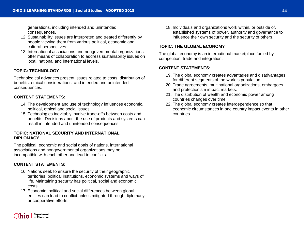generations, including intended and unintended consequences.

- 12. Sustainability issues are interpreted and treated differently by people viewing them from various political, economic and cultural perspectives.
- 13. International associations and nongovernmental organizations offer means of collaboration to address sustainability issues on local, national and international levels.

#### **TOPIC: TECHNOLOGY**

Technological advances present issues related to costs, distribution of benefits, ethical considerations, and intended and unintended consequences.

#### **CONTENT STATEMENTS:**

- 14. The development and use of technology influences economic, political, ethical and social issues.
- 15. Technologies inevitably involve trade-offs between costs and benefits. Decisions about the use of products and systems can result in intended and unintended consequences.

#### **TOPIC: NATIONAL SECURITY AND INTERNATIONAL DIPLOMACY**

The political, economic and social goals of nations, international associations and nongovernmental organizations may be incompatible with each other and lead to conflicts.

#### **CONTENT STATEMENTS:**

- 16. Nations seek to ensure the security of their geographic territories, political institutions, economic systems and ways of life. Maintaining security has political, social and economic costs.
- 17. Economic, political and social differences between global entities can lead to conflict unless mitigated through diplomacy or cooperative efforts.

18. Individuals and organizations work within, or outside of, established systems of power, authority and governance to influence their own security and the security of others.

#### **TOPIC: THE GLOBAL ECONOMY**

The global economy is an international marketplace fueled by competition, trade and integration.

- 19. The global economy creates advantages and disadvantages for different segments of the world's population.
- 20. Trade agreements, multinational organizations, embargoes and protectionism impact markets.
- 21. The distribution of wealth and economic power among countries changes over time.
- 22. The global economy creates interdependence so that economic circumstances in one country impact events in other countries.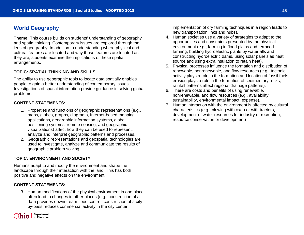# <span id="page-44-0"></span>**World Geography**

**Theme:** This course builds on students' understanding of geography and spatial thinking. Contemporary issues are explored through the lens of geography. In addition to understanding where physical and cultural features are located and why those features are located as they are, students examine the implications of these spatial arrangements.

#### **TOPIC: SPATIAL THINKING AND SKILLS**

The ability to use geographic tools to locate data spatially enables people to gain a better understanding of contemporary issues. Investigations of spatial information provide guidance in solving global problems.

#### **CONTENT STATEMENTS:**

- 1. Properties and functions of geographic representations (e.g., maps, globes, graphs, diagrams, Internet-based mapping applications, geographic information systems, global positioning systems, remote sensing, and geographic visualizations) affect how they can be used to represent, analyze and interpret geographic patterns and processes.
- 2. Geographic representations and geospatial technologies are used to investigate, analyze and communicate the results of geographic problem solving.

#### **TOPIC: ENVIRONMENT AND SOCIETY**

Humans adapt to and modify the environment and shape the landscape through their interaction with the land. This has both positive and negative effects on the environment.

#### **CONTENT STATEMENTS:**

3. Human modifications of the physical environment in one place often lead to changes in other places (e.g., construction of a dam provides downstream flood control, construction of a city by-pass reduces commercial activity in the city center,



implementation of dry farming techniques in a region leads to new transportation links and hubs).

- 4. Human societies use a variety of strategies to adapt to the opportunities and constraints presented by the physical environment (e.g., farming in flood plains and terraced farming, building hydroelectric plants by waterfalls and constructing hydroelectric dams, using solar panels as heat source and using extra insulation to retain heat).
- 5. Physical processes influence the formation and distribution of renewable, nonrenewable, and flow resources (e.g., tectonic activity plays a role in the formation and location of fossil fuels, erosion plays a role in the formation of sedimentary rocks, rainfall patterns affect regional drainage patterns).
- 6. There are costs and benefits of using renewable, nonrenewable, and flow resources (e.g., availability, sustainability, environmental impact, expense).
- 7. Human interaction with the environment is affected by cultural characteristics (e.g., plowing with oxen or with tractors, development of water resources for industry or recreation, resource conservation or development)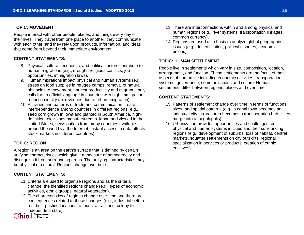#### **TOPIC: MOVEMENT**

People interact with other people, places, and things every day of their lives. They travel from one place to another; they communicate with each other; and they rely upon products, information, and ideas that come from beyond their immediate environment.

#### **CONTENT STATEMENTS:**

- 8. Physical, cultural, economic, and political factors contribute to human migrations (e.g., drought, religious conflicts, job opportunities, immigration laws).
- 9. Human migrations impact physical and human systems (e.g., stress on food supplies in refugee camps, removal of natural obstacles to movement, harvest productivity and migrant labor, calls for an official language in countries with high immigration, reduction in city tax revenues due to urban emigration).
- 10. Activities and patterns of trade and communication create interdependence among countries in different regions (e.g., seed corn grown in Iowa and planted in South America, highdefinition televisions manufactured in Japan and viewed in the United States, news outlets from many countries available around the world via the Internet, instant access to data affects stock markets in different countries).

#### **TOPIC: REGION**

A region is an area on the earth's surface that is defined by certain unifying characteristics which give it a measure of homogeneity and distinguish it from surrounding areas. The unifying characteristics may be physical or cultural. Regions change over time.

#### **CONTENT STATEMENTS:**

- 11. Criteria are used to organize regions and as the criteria change, the identified regions change (e.g., types of economic activities, ethnic groups, natural vegetation).
- 12. The characteristics of regions change over time and there are consequences related to those changes (e.g., industrial belt to rust belt, pristine locations to tourist attractions, colony to independent state).<br>
I Department
- $\overline{\mathbf{h}}$   $\overline{\mathbf{I}}$  of Education
- 13. There are interconnections within and among physical and human regions (e.g., river systems, transportation linkages, common currency).
- 14. Regions are used as a basis to analyze global geographic issues (e.g., desertification, political disputes, economic unions).

#### **TOPIC: HUMAN SETTLEMENT**

People live in settlements which vary in size, composition, location, arrangement, and function. These settlements are the focus of most aspects of human life including economic activities, transportation systems, governance, communications and culture. Human settlements differ between regions, places and over time.

- 15. Patterns of settlement change over time in terms of functions, sizes, and spatial patterns (e.g., a canal town becomes an industrial city, a rural area becomes a transportation hub, cities merge into a megalopolis).
- 16. Urbanization provides opportunities and challenges for physical and human systems in cities and their surrounding regions (e.g., development of suburbs, loss of habitat, central markets, squatter settlements on city outskirts, regional specialization in services or products, creation of ethnic enclaves).